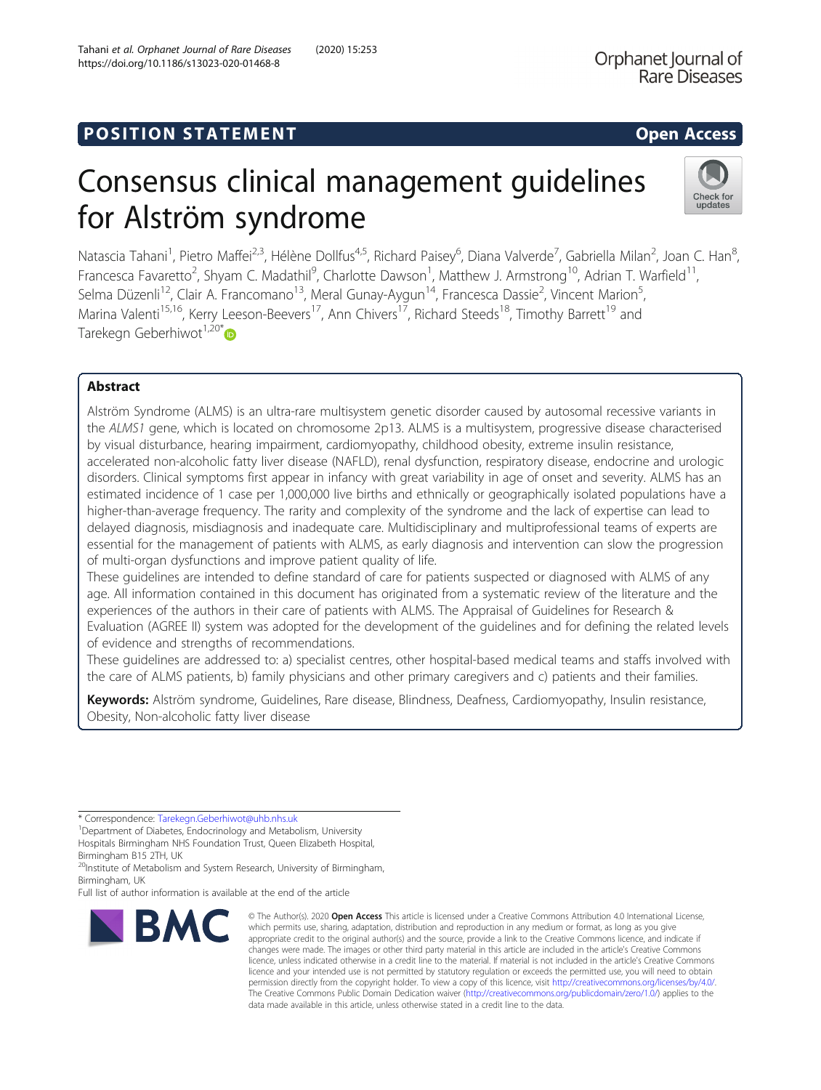# Consensus clinical management guidelines for Alström syndrome

Natascia Tahani<sup>1</sup>, Pietro Maffei<sup>2,3</sup>, Hélène Dollfus<sup>4,5</sup>, Richard Paisey<sup>6</sup>, Diana Valverde<sup>7</sup>, Gabriella Milan<sup>2</sup>, Joan C. Han<sup>8</sup> .<br>, Francesca Favaretto<sup>2</sup>, Shyam C. Madathil<sup>9</sup>, Charlotte Dawson<sup>1</sup>, Matthew J. Armstrong<sup>10</sup>, Adrian T. Warfield<sup>11</sup>, Selma Düzenli<sup>12</sup>, Clair A. Francomano<sup>13</sup>, Meral Gunay-Aygun<sup>14</sup>, Francesca Dassie<sup>2</sup>, Vincent Marion<sup>5</sup> , Marina Valenti<sup>15,16</sup>, Kerry Leeson-Beevers<sup>17</sup>, Ann Chivers<sup>17</sup>, Richard Steeds<sup>18</sup>, Timothy Barrett<sup>19</sup> and Tarekegn Geberhiwot<sup>1,20\*</sup> $\bullet$ 

# Abstract

Alström Syndrome (ALMS) is an ultra-rare multisystem genetic disorder caused by autosomal recessive variants in the ALMS1 gene, which is located on chromosome 2p13. ALMS is a multisystem, progressive disease characterised by visual disturbance, hearing impairment, cardiomyopathy, childhood obesity, extreme insulin resistance, accelerated non-alcoholic fatty liver disease (NAFLD), renal dysfunction, respiratory disease, endocrine and urologic disorders. Clinical symptoms first appear in infancy with great variability in age of onset and severity. ALMS has an estimated incidence of 1 case per 1,000,000 live births and ethnically or geographically isolated populations have a higher-than-average frequency. The rarity and complexity of the syndrome and the lack of expertise can lead to delayed diagnosis, misdiagnosis and inadequate care. Multidisciplinary and multiprofessional teams of experts are essential for the management of patients with ALMS, as early diagnosis and intervention can slow the progression of multi-organ dysfunctions and improve patient quality of life.

These guidelines are intended to define standard of care for patients suspected or diagnosed with ALMS of any age. All information contained in this document has originated from a systematic review of the literature and the experiences of the authors in their care of patients with ALMS. The Appraisal of Guidelines for Research & Evaluation (AGREE II) system was adopted for the development of the guidelines and for defining the related levels of evidence and strengths of recommendations.

These guidelines are addressed to: a) specialist centres, other hospital-based medical teams and staffs involved with the care of ALMS patients, b) family physicians and other primary caregivers and c) patients and their families.

Keywords: Alström syndrome, Guidelines, Rare disease, Blindness, Deafness, Cardiomyopathy, Insulin resistance, Obesity, Non-alcoholic fatty liver disease

\* Correspondence: [Tarekegn.Geberhiwot@uhb.nhs.uk](mailto:Tarekegn.Geberhiwot@uhb.nhs.uk) <sup>1</sup>

<sup>20</sup>Institute of Metabolism and System Research, University of Birmingham, Birmingham, UK

Full list of author information is available at the end of the article





<sup>&</sup>lt;sup>1</sup> Department of Diabetes, Endocrinology and Metabolism, University Hospitals Birmingham NHS Foundation Trust, Queen Elizabeth Hospital, Birmingham B15 2TH, UK

<sup>©</sup> The Author(s), 2020 **Open Access** This article is licensed under a Creative Commons Attribution 4.0 International License, which permits use, sharing, adaptation, distribution and reproduction in any medium or format, as long as you give appropriate credit to the original author(s) and the source, provide a link to the Creative Commons licence, and indicate if changes were made. The images or other third party material in this article are included in the article's Creative Commons licence, unless indicated otherwise in a credit line to the material. If material is not included in the article's Creative Commons licence and your intended use is not permitted by statutory regulation or exceeds the permitted use, you will need to obtain permission directly from the copyright holder. To view a copy of this licence, visit [http://creativecommons.org/licenses/by/4.0/.](http://creativecommons.org/licenses/by/4.0/) The Creative Commons Public Domain Dedication waiver [\(http://creativecommons.org/publicdomain/zero/1.0/](http://creativecommons.org/publicdomain/zero/1.0/)) applies to the data made available in this article, unless otherwise stated in a credit line to the data.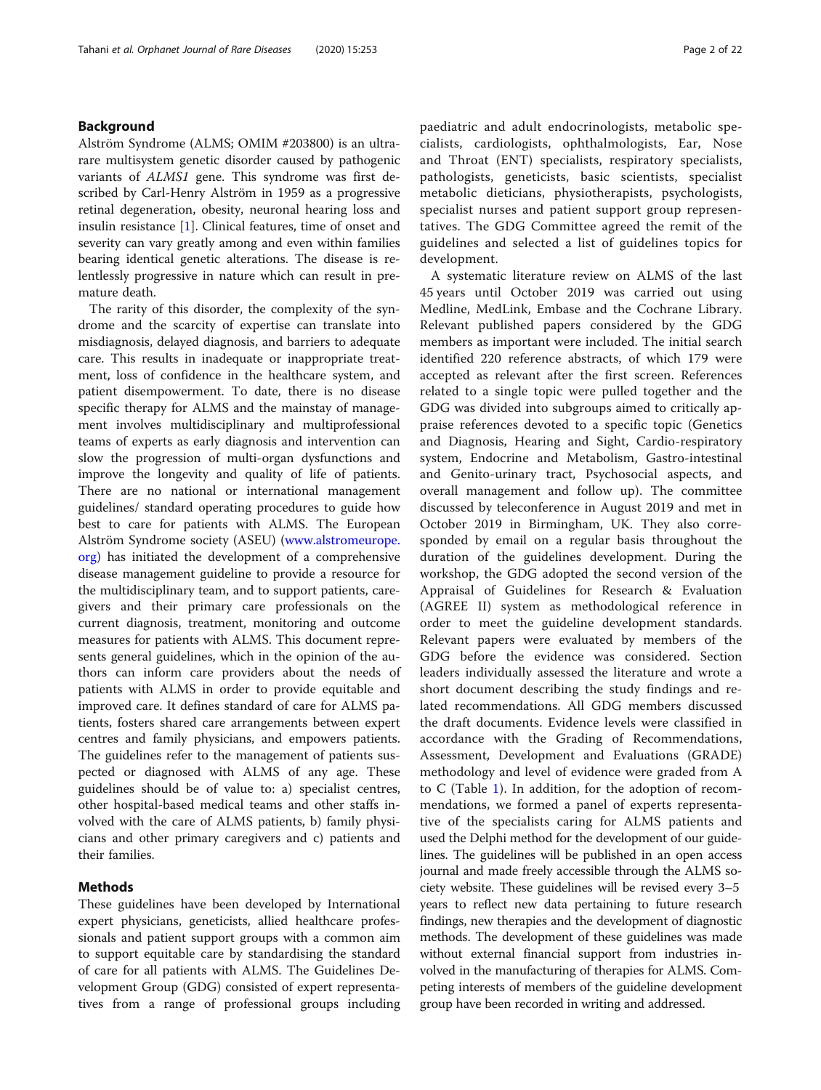# Background

Alström Syndrome (ALMS; OMIM #203800) is an ultrarare multisystem genetic disorder caused by pathogenic variants of ALMS1 gene. This syndrome was first described by Carl-Henry Alström in 1959 as a progressive retinal degeneration, obesity, neuronal hearing loss and insulin resistance [[1](#page-19-0)]. Clinical features, time of onset and severity can vary greatly among and even within families bearing identical genetic alterations. The disease is relentlessly progressive in nature which can result in premature death.

The rarity of this disorder, the complexity of the syndrome and the scarcity of expertise can translate into misdiagnosis, delayed diagnosis, and barriers to adequate care. This results in inadequate or inappropriate treatment, loss of confidence in the healthcare system, and patient disempowerment. To date, there is no disease specific therapy for ALMS and the mainstay of management involves multidisciplinary and multiprofessional teams of experts as early diagnosis and intervention can slow the progression of multi-organ dysfunctions and improve the longevity and quality of life of patients. There are no national or international management guidelines/ standard operating procedures to guide how best to care for patients with ALMS. The European Alström Syndrome society (ASEU) ([www.alstromeurope.](http://www.alstromeurope.org) [org](http://www.alstromeurope.org)) has initiated the development of a comprehensive disease management guideline to provide a resource for the multidisciplinary team, and to support patients, caregivers and their primary care professionals on the current diagnosis, treatment, monitoring and outcome measures for patients with ALMS. This document represents general guidelines, which in the opinion of the authors can inform care providers about the needs of patients with ALMS in order to provide equitable and improved care. It defines standard of care for ALMS patients, fosters shared care arrangements between expert centres and family physicians, and empowers patients. The guidelines refer to the management of patients suspected or diagnosed with ALMS of any age. These guidelines should be of value to: a) specialist centres, other hospital-based medical teams and other staffs involved with the care of ALMS patients, b) family physicians and other primary caregivers and c) patients and their families.

# Methods

These guidelines have been developed by International expert physicians, geneticists, allied healthcare professionals and patient support groups with a common aim to support equitable care by standardising the standard of care for all patients with ALMS. The Guidelines Development Group (GDG) consisted of expert representatives from a range of professional groups including paediatric and adult endocrinologists, metabolic specialists, cardiologists, ophthalmologists, Ear, Nose and Throat (ENT) specialists, respiratory specialists, pathologists, geneticists, basic scientists, specialist metabolic dieticians, physiotherapists, psychologists, specialist nurses and patient support group representatives. The GDG Committee agreed the remit of the guidelines and selected a list of guidelines topics for development.

A systematic literature review on ALMS of the last 45 years until October 2019 was carried out using Medline, MedLink, Embase and the Cochrane Library. Relevant published papers considered by the GDG members as important were included. The initial search identified 220 reference abstracts, of which 179 were accepted as relevant after the first screen. References related to a single topic were pulled together and the GDG was divided into subgroups aimed to critically appraise references devoted to a specific topic (Genetics and Diagnosis, Hearing and Sight, Cardio-respiratory system, Endocrine and Metabolism, Gastro-intestinal and Genito-urinary tract, Psychosocial aspects, and overall management and follow up). The committee discussed by teleconference in August 2019 and met in October 2019 in Birmingham, UK. They also corresponded by email on a regular basis throughout the duration of the guidelines development. During the workshop, the GDG adopted the second version of the Appraisal of Guidelines for Research & Evaluation (AGREE II) system as methodological reference in order to meet the guideline development standards. Relevant papers were evaluated by members of the GDG before the evidence was considered. Section leaders individually assessed the literature and wrote a short document describing the study findings and related recommendations. All GDG members discussed the draft documents. Evidence levels were classified in accordance with the Grading of Recommendations, Assessment, Development and Evaluations (GRADE) methodology and level of evidence were graded from A to C (Table [1](#page-2-0)). In addition, for the adoption of recommendations, we formed a panel of experts representative of the specialists caring for ALMS patients and used the Delphi method for the development of our guidelines. The guidelines will be published in an open access journal and made freely accessible through the ALMS society website. These guidelines will be revised every 3–5 years to reflect new data pertaining to future research findings, new therapies and the development of diagnostic methods. The development of these guidelines was made without external financial support from industries involved in the manufacturing of therapies for ALMS. Competing interests of members of the guideline development group have been recorded in writing and addressed.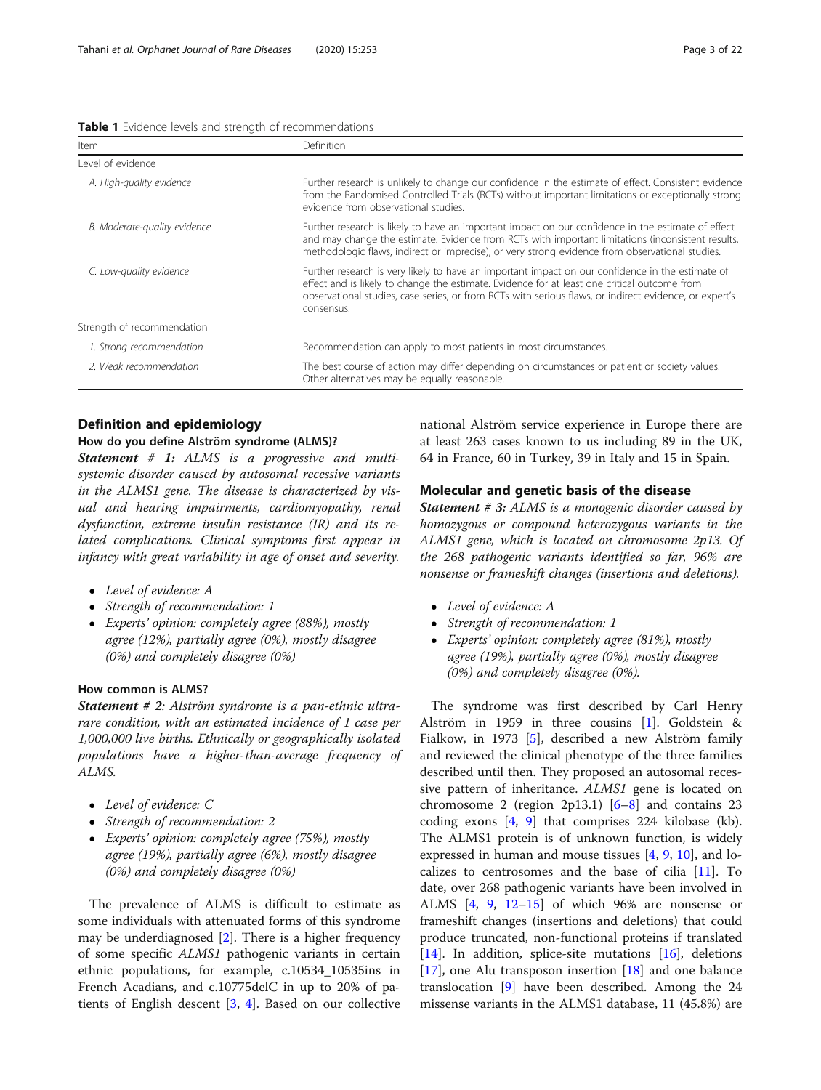<span id="page-2-0"></span>Table 1 Evidence levels and strength of recommendations

| Item                         | Definition                                                                                                                                                                                                                                                                                                               |  |
|------------------------------|--------------------------------------------------------------------------------------------------------------------------------------------------------------------------------------------------------------------------------------------------------------------------------------------------------------------------|--|
| Level of evidence            |                                                                                                                                                                                                                                                                                                                          |  |
| A. High-quality evidence     | Further research is unlikely to change our confidence in the estimate of effect. Consistent evidence<br>from the Randomised Controlled Trials (RCTs) without important limitations or exceptionally strong<br>evidence from observational studies.                                                                       |  |
| B. Moderate-quality evidence | Further research is likely to have an important impact on our confidence in the estimate of effect<br>and may change the estimate. Evidence from RCTs with important limitations (inconsistent results,<br>methodologic flaws, indirect or imprecise), or very strong evidence from observational studies.               |  |
| C. Low-quality evidence      | Further research is very likely to have an important impact on our confidence in the estimate of<br>effect and is likely to change the estimate. Evidence for at least one critical outcome from<br>observational studies, case series, or from RCTs with serious flaws, or indirect evidence, or expert's<br>consensus. |  |
| Strength of recommendation   |                                                                                                                                                                                                                                                                                                                          |  |
| 1. Strong recommendation     | Recommendation can apply to most patients in most circumstances.                                                                                                                                                                                                                                                         |  |
| 2. Weak recommendation       | The best course of action may differ depending on circumstances or patient or society values.<br>Other alternatives may be equally reasonable.                                                                                                                                                                           |  |

# Definition and epidemiology

#### How do you define Alström syndrome (ALMS)?

Statement # 1: ALMS is a progressive and multisystemic disorder caused by autosomal recessive variants in the ALMS1 gene. The disease is characterized by visual and hearing impairments, cardiomyopathy, renal dysfunction, extreme insulin resistance (IR) and its related complications. Clinical symptoms first appear in infancy with great variability in age of onset and severity.

- Level of evidence: A
- Strength of recommendation: 1
- Experts' opinion: completely agree (88%), mostly agree (12%), partially agree (0%), mostly disagree (0%) and completely disagree (0%)

#### How common is ALMS?

Statement # 2: Alström syndrome is a pan-ethnic ultrarare condition, with an estimated incidence of 1 case per 1,000,000 live births. Ethnically or geographically isolated populations have a higher-than-average frequency of ALMS.

- Level of evidence: C
- Strength of recommendation: 2
- Experts' opinion: completely agree (75%), mostly agree (19%), partially agree (6%), mostly disagree (0%) and completely disagree (0%)

The prevalence of ALMS is difficult to estimate as some individuals with attenuated forms of this syndrome may be underdiagnosed [[2\]](#page-19-0). There is a higher frequency of some specific ALMS1 pathogenic variants in certain ethnic populations, for example, c.10534\_10535ins in French Acadians, and c.10775delC in up to 20% of patients of English descent [[3,](#page-19-0) [4\]](#page-19-0). Based on our collective national Alström service experience in Europe there are at least 263 cases known to us including 89 in the UK, 64 in France, 60 in Turkey, 39 in Italy and 15 in Spain.

# Molecular and genetic basis of the disease

Statement # 3: ALMS is a monogenic disorder caused by homozygous or compound heterozygous variants in the ALMS1 gene, which is located on chromosome 2p13. Of the 268 pathogenic variants identified so far, 96% are nonsense or frameshift changes (insertions and deletions).

- Level of evidence: A
- Strength of recommendation: 1
- Experts' opinion: completely agree (81%), mostly agree (19%), partially agree (0%), mostly disagree (0%) and completely disagree (0%).

The syndrome was first described by Carl Henry Alström in 1959 in three cousins [\[1](#page-19-0)]. Goldstein & Fialkow, in 1973 [\[5](#page-19-0)], described a new Alström family and reviewed the clinical phenotype of the three families described until then. They proposed an autosomal recessive pattern of inheritance. ALMS1 gene is located on chromosome 2 (region 2p13.1)  $[6-8]$  $[6-8]$  $[6-8]$  $[6-8]$  and contains 23 coding exons [\[4](#page-19-0), [9](#page-19-0)] that comprises 224 kilobase (kb). The ALMS1 protein is of unknown function, is widely expressed in human and mouse tissues [[4,](#page-19-0) [9,](#page-19-0) [10\]](#page-19-0), and localizes to centrosomes and the base of cilia [\[11](#page-19-0)]. To date, over 268 pathogenic variants have been involved in ALMS [\[4](#page-19-0), [9](#page-19-0), [12](#page-19-0)–[15\]](#page-19-0) of which 96% are nonsense or frameshift changes (insertions and deletions) that could produce truncated, non-functional proteins if translated [[14\]](#page-19-0). In addition, splice-site mutations  $[16]$ , deletions [[17\]](#page-19-0), one Alu transposon insertion [[18](#page-19-0)] and one balance translocation [\[9](#page-19-0)] have been described. Among the 24 missense variants in the ALMS1 database, 11 (45.8%) are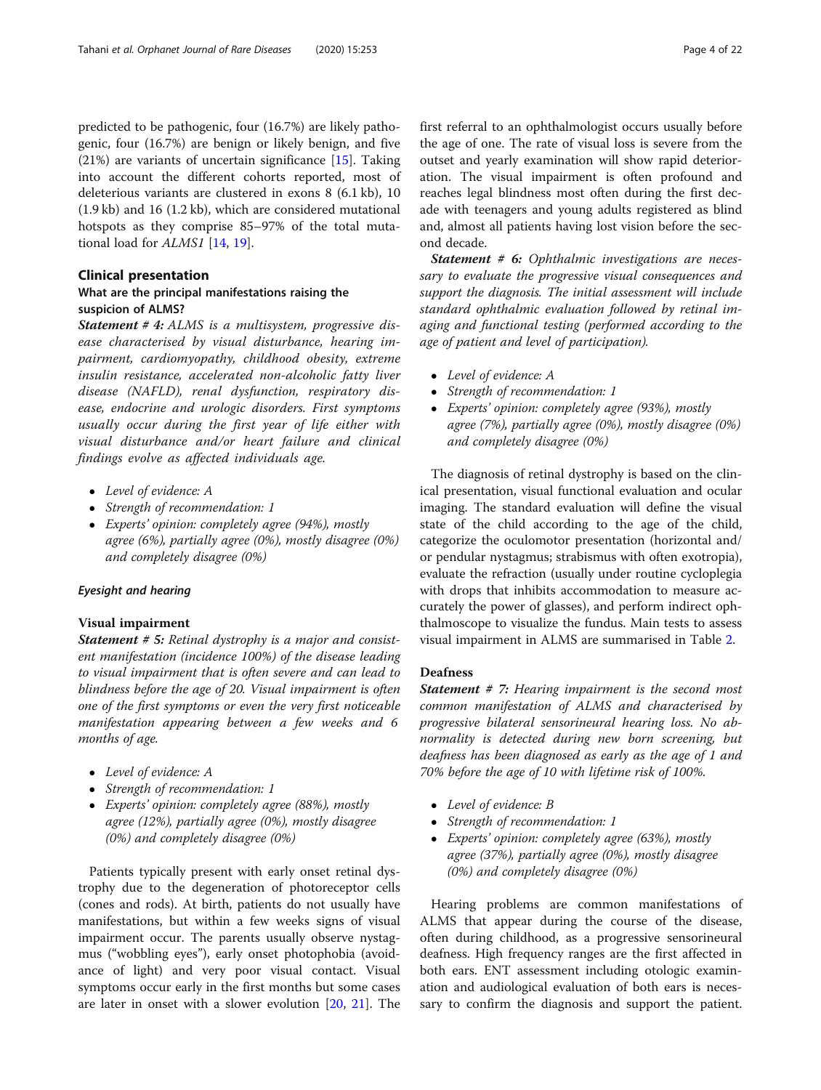predicted to be pathogenic, four (16.7%) are likely pathogenic, four (16.7%) are benign or likely benign, and five  $(21%)$  are variants of uncertain significance [\[15](#page-19-0)]. Taking into account the different cohorts reported, most of deleterious variants are clustered in exons 8 (6.1 kb), 10 (1.9 kb) and 16 (1.2 kb), which are considered mutational hotspots as they comprise 85–97% of the total mutational load for ALMS1 [\[14](#page-19-0), [19](#page-19-0)].

#### Clinical presentation

# What are the principal manifestations raising the suspicion of ALMS?

Statement # 4: ALMS is a multisystem, progressive disease characterised by visual disturbance, hearing impairment, cardiomyopathy, childhood obesity, extreme insulin resistance, accelerated non-alcoholic fatty liver disease (NAFLD), renal dysfunction, respiratory disease, endocrine and urologic disorders. First symptoms usually occur during the first year of life either with visual disturbance and/or heart failure and clinical findings evolve as affected individuals age.

- Level of evidence: A
- Strength of recommendation: 1
- Experts' opinion: completely agree (94%), mostly agree (6%), partially agree (0%), mostly disagree (0%) and completely disagree (0%)

#### Eyesight and hearing

#### Visual impairment

Statement # 5: Retinal dystrophy is a major and consistent manifestation (incidence 100%) of the disease leading to visual impairment that is often severe and can lead to blindness before the age of 20. Visual impairment is often one of the first symptoms or even the very first noticeable manifestation appearing between a few weeks and 6 months of age.

- Level of evidence: A
- Strength of recommendation: 1
- Experts' opinion: completely agree (88%), mostly agree (12%), partially agree (0%), mostly disagree (0%) and completely disagree (0%)

Patients typically present with early onset retinal dystrophy due to the degeneration of photoreceptor cells (cones and rods). At birth, patients do not usually have manifestations, but within a few weeks signs of visual impairment occur. The parents usually observe nystagmus ("wobbling eyes"), early onset photophobia (avoidance of light) and very poor visual contact. Visual symptoms occur early in the first months but some cases are later in onset with a slower evolution [\[20,](#page-20-0) [21\]](#page-20-0). The first referral to an ophthalmologist occurs usually before the age of one. The rate of visual loss is severe from the outset and yearly examination will show rapid deterioration. The visual impairment is often profound and reaches legal blindness most often during the first decade with teenagers and young adults registered as blind and, almost all patients having lost vision before the second decade.

Statement # 6: Ophthalmic investigations are necessary to evaluate the progressive visual consequences and support the diagnosis. The initial assessment will include standard ophthalmic evaluation followed by retinal imaging and functional testing (performed according to the age of patient and level of participation).

- Level of evidence: A
- Strength of recommendation: 1
- Experts' opinion: completely agree (93%), mostly agree (7%), partially agree (0%), mostly disagree (0%) and completely disagree (0%)

The diagnosis of retinal dystrophy is based on the clinical presentation, visual functional evaluation and ocular imaging. The standard evaluation will define the visual state of the child according to the age of the child, categorize the oculomotor presentation (horizontal and/ or pendular nystagmus; strabismus with often exotropia), evaluate the refraction (usually under routine cycloplegia with drops that inhibits accommodation to measure accurately the power of glasses), and perform indirect ophthalmoscope to visualize the fundus. Main tests to assess visual impairment in ALMS are summarised in Table [2.](#page-4-0)

#### Deafness

Statement # 7: Hearing impairment is the second most common manifestation of ALMS and characterised by progressive bilateral sensorineural hearing loss. No abnormality is detected during new born screening, but deafness has been diagnosed as early as the age of 1 and 70% before the age of 10 with lifetime risk of 100%.

- Level of evidence: B
- Strength of recommendation: 1
- Experts' opinion: completely agree (63%), mostly agree (37%), partially agree (0%), mostly disagree (0%) and completely disagree (0%)

Hearing problems are common manifestations of ALMS that appear during the course of the disease, often during childhood, as a progressive sensorineural deafness. High frequency ranges are the first affected in both ears. ENT assessment including otologic examination and audiological evaluation of both ears is necessary to confirm the diagnosis and support the patient.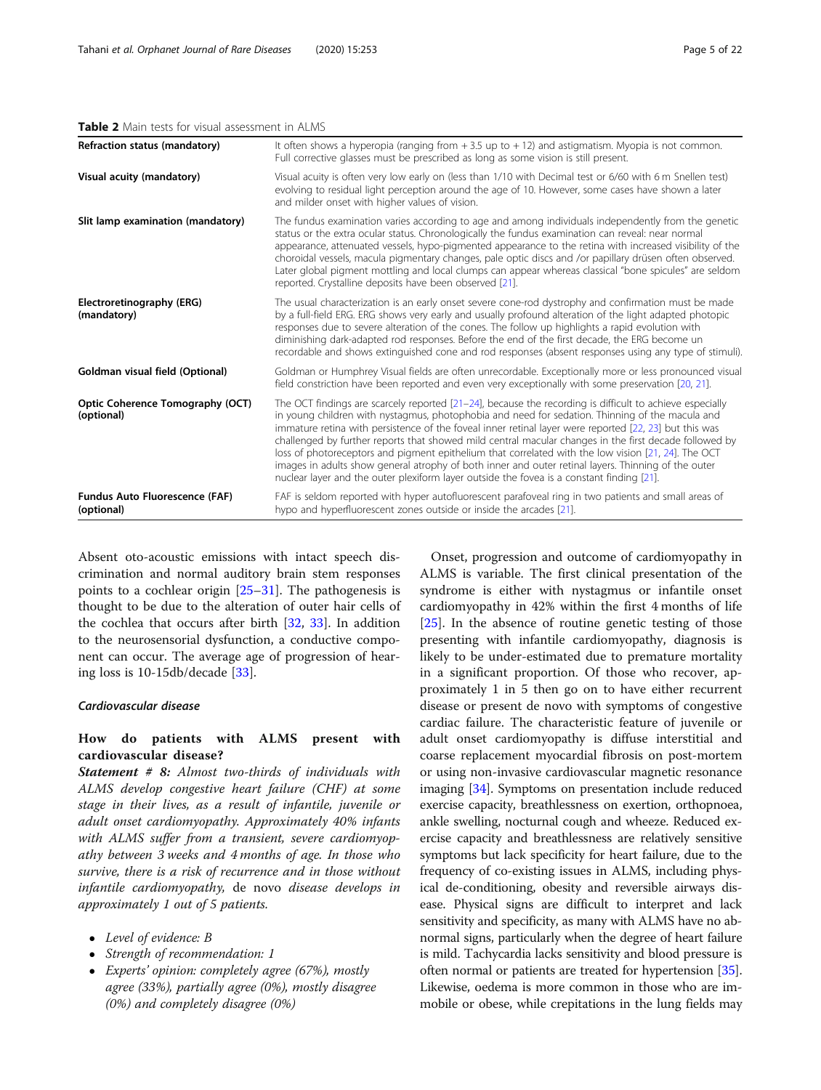#### <span id="page-4-0"></span>Table 2 Main tests for visual assessment in ALMS

| Refraction status (mandatory)                       | It often shows a hyperopia (ranging from $+3.5$ up to $+12$ ) and astigmatism. Myopia is not common.<br>Full corrective glasses must be prescribed as long as some vision is still present.                                                                                                                                                                                                                                                                                                                                                                                                                                                                                                                                                   |
|-----------------------------------------------------|-----------------------------------------------------------------------------------------------------------------------------------------------------------------------------------------------------------------------------------------------------------------------------------------------------------------------------------------------------------------------------------------------------------------------------------------------------------------------------------------------------------------------------------------------------------------------------------------------------------------------------------------------------------------------------------------------------------------------------------------------|
| Visual acuity (mandatory)                           | Visual acuity is often very low early on (less than 1/10 with Decimal test or 6/60 with 6 m Snellen test)<br>evolving to residual light perception around the age of 10. However, some cases have shown a later<br>and milder onset with higher values of vision.                                                                                                                                                                                                                                                                                                                                                                                                                                                                             |
| Slit lamp examination (mandatory)                   | The fundus examination varies according to age and among individuals independently from the genetic<br>status or the extra ocular status. Chronologically the fundus examination can reveal: near normal<br>appearance, attenuated vessels, hypo-pigmented appearance to the retina with increased visibility of the<br>choroidal vessels, macula pigmentary changes, pale optic discs and /or papillary drüsen often observed.<br>Later global pigment mottling and local clumps can appear whereas classical "bone spicules" are seldom<br>reported. Crystalline deposits have been observed [21].                                                                                                                                          |
| Electroretinography (ERG)<br>(mandatory)            | The usual characterization is an early onset severe cone-rod dystrophy and confirmation must be made<br>by a full-field ERG. ERG shows very early and usually profound alteration of the light adapted photopic<br>responses due to severe alteration of the cones. The follow up highlights a rapid evolution with<br>diminishing dark-adapted rod responses. Before the end of the first decade, the ERG become un<br>recordable and shows extinguished cone and rod responses (absent responses using any type of stimuli).                                                                                                                                                                                                                |
| Goldman visual field (Optional)                     | Goldman or Humphrey Visual fields are often unrecordable. Exceptionally more or less pronounced visual<br>field constriction have been reported and even very exceptionally with some preservation [20, 21].                                                                                                                                                                                                                                                                                                                                                                                                                                                                                                                                  |
| Optic Coherence Tomography (OCT)<br>(optional)      | The OCT findings are scarcely reported $[21-24]$ , because the recording is difficult to achieve especially<br>in young children with nystagmus, photophobia and need for sedation. Thinning of the macula and<br>immature retina with persistence of the foveal inner retinal layer were reported [22, 23] but this was<br>challenged by further reports that showed mild central macular changes in the first decade followed by<br>loss of photoreceptors and pigment epithelium that correlated with the low vision [21, 24]. The OCT<br>images in adults show general atrophy of both inner and outer retinal layers. Thinning of the outer<br>nuclear layer and the outer plexiform layer outside the fovea is a constant finding [21]. |
| <b>Fundus Auto Fluorescence (FAF)</b><br>(optional) | FAF is seldom reported with hyper autofluorescent parafoveal ring in two patients and small areas of<br>hypo and hyperfluorescent zones outside or inside the arcades [21].                                                                                                                                                                                                                                                                                                                                                                                                                                                                                                                                                                   |

Absent oto-acoustic emissions with intact speech discrimination and normal auditory brain stem responses points to a cochlear origin [\[25](#page-20-0)–[31\]](#page-20-0). The pathogenesis is thought to be due to the alteration of outer hair cells of the cochlea that occurs after birth [[32,](#page-20-0) [33\]](#page-20-0). In addition to the neurosensorial dysfunction, a conductive component can occur. The average age of progression of hearing loss is 10-15db/decade [\[33\]](#page-20-0).

#### Cardiovascular disease

# How do patients with ALMS present with cardiovascular disease?

Statement # 8: Almost two-thirds of individuals with ALMS develop congestive heart failure (CHF) at some stage in their lives, as a result of infantile, juvenile or adult onset cardiomyopathy. Approximately 40% infants with ALMS suffer from a transient, severe cardiomyopathy between 3 weeks and 4 months of age. In those who survive, there is a risk of recurrence and in those without infantile cardiomyopathy, de novo disease develops in approximately 1 out of 5 patients.

- Level of evidence: B
- Strength of recommendation: 1
- Experts' opinion: completely agree (67%), mostly agree (33%), partially agree (0%), mostly disagree (0%) and completely disagree (0%)

Onset, progression and outcome of cardiomyopathy in ALMS is variable. The first clinical presentation of the syndrome is either with nystagmus or infantile onset cardiomyopathy in 42% within the first 4 months of life [[25\]](#page-20-0). In the absence of routine genetic testing of those presenting with infantile cardiomyopathy, diagnosis is likely to be under-estimated due to premature mortality in a significant proportion. Of those who recover, approximately 1 in 5 then go on to have either recurrent disease or present de novo with symptoms of congestive cardiac failure. The characteristic feature of juvenile or adult onset cardiomyopathy is diffuse interstitial and coarse replacement myocardial fibrosis on post-mortem or using non-invasive cardiovascular magnetic resonance imaging [\[34\]](#page-20-0). Symptoms on presentation include reduced exercise capacity, breathlessness on exertion, orthopnoea, ankle swelling, nocturnal cough and wheeze. Reduced exercise capacity and breathlessness are relatively sensitive symptoms but lack specificity for heart failure, due to the frequency of co-existing issues in ALMS, including physical de-conditioning, obesity and reversible airways disease. Physical signs are difficult to interpret and lack sensitivity and specificity, as many with ALMS have no abnormal signs, particularly when the degree of heart failure is mild. Tachycardia lacks sensitivity and blood pressure is often normal or patients are treated for hypertension [[35](#page-20-0)]. Likewise, oedema is more common in those who are immobile or obese, while crepitations in the lung fields may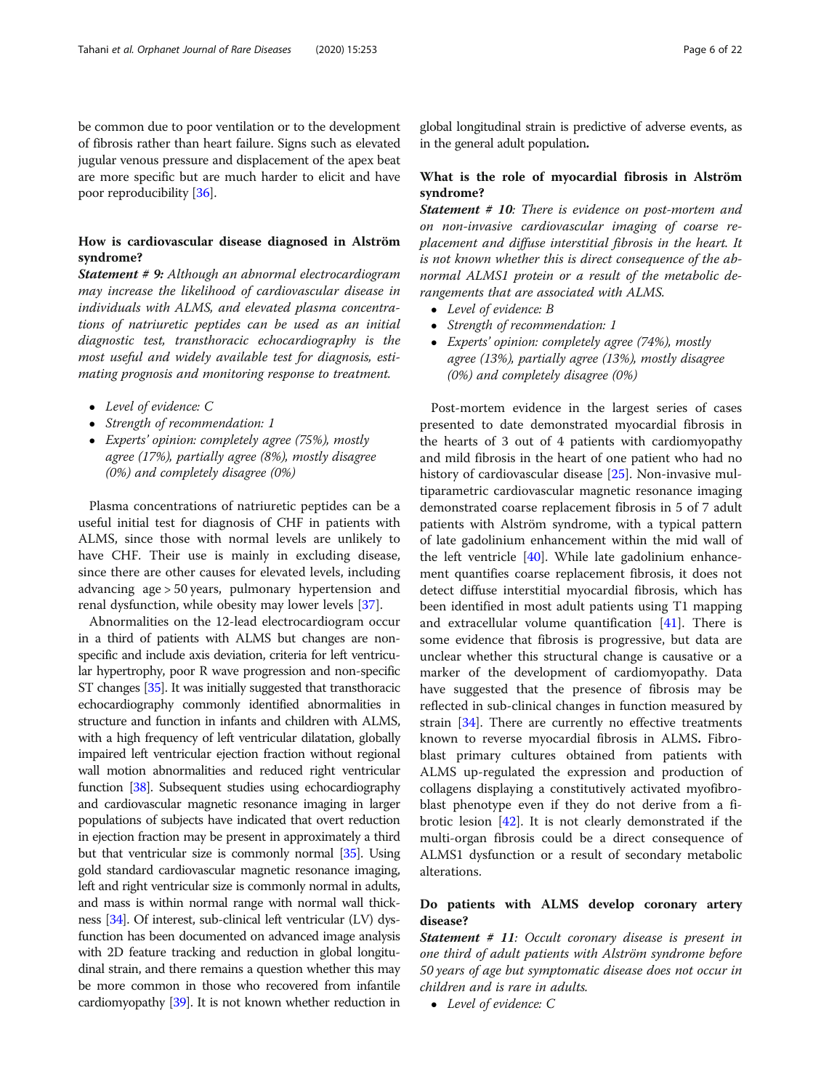be common due to poor ventilation or to the development of fibrosis rather than heart failure. Signs such as elevated jugular venous pressure and displacement of the apex beat are more specific but are much harder to elicit and have poor reproducibility [\[36](#page-20-0)].

# How is cardiovascular disease diagnosed in Alström syndrome?

Statement # 9: Although an abnormal electrocardiogram may increase the likelihood of cardiovascular disease in individuals with ALMS, and elevated plasma concentrations of natriuretic peptides can be used as an initial diagnostic test, transthoracic echocardiography is the most useful and widely available test for diagnosis, estimating prognosis and monitoring response to treatment.

- Level of evidence: C
- Strength of recommendation: 1
- Experts' opinion: completely agree (75%), mostly agree (17%), partially agree (8%), mostly disagree (0%) and completely disagree (0%)

Plasma concentrations of natriuretic peptides can be a useful initial test for diagnosis of CHF in patients with ALMS, since those with normal levels are unlikely to have CHF. Their use is mainly in excluding disease, since there are other causes for elevated levels, including advancing age > 50 years, pulmonary hypertension and renal dysfunction, while obesity may lower levels [[37](#page-20-0)].

Abnormalities on the 12-lead electrocardiogram occur in a third of patients with ALMS but changes are nonspecific and include axis deviation, criteria for left ventricular hypertrophy, poor R wave progression and non-specific ST changes [\[35\]](#page-20-0). It was initially suggested that transthoracic echocardiography commonly identified abnormalities in structure and function in infants and children with ALMS, with a high frequency of left ventricular dilatation, globally impaired left ventricular ejection fraction without regional wall motion abnormalities and reduced right ventricular function [[38](#page-20-0)]. Subsequent studies using echocardiography and cardiovascular magnetic resonance imaging in larger populations of subjects have indicated that overt reduction in ejection fraction may be present in approximately a third but that ventricular size is commonly normal [\[35\]](#page-20-0). Using gold standard cardiovascular magnetic resonance imaging, left and right ventricular size is commonly normal in adults, and mass is within normal range with normal wall thickness [[34\]](#page-20-0). Of interest, sub-clinical left ventricular (LV) dysfunction has been documented on advanced image analysis with 2D feature tracking and reduction in global longitudinal strain, and there remains a question whether this may be more common in those who recovered from infantile cardiomyopathy [[39](#page-20-0)]. It is not known whether reduction in global longitudinal strain is predictive of adverse events, as in the general adult population.

#### What is the role of myocardial fibrosis in Alström syndrome?

Statement # 10: There is evidence on post-mortem and on non-invasive cardiovascular imaging of coarse replacement and diffuse interstitial fibrosis in the heart. It is not known whether this is direct consequence of the abnormal ALMS1 protein or a result of the metabolic derangements that are associated with ALMS.

- Level of evidence: B
- Strength of recommendation: 1
- Experts' opinion: completely agree (74%), mostly agree (13%), partially agree (13%), mostly disagree (0%) and completely disagree (0%)

Post-mortem evidence in the largest series of cases presented to date demonstrated myocardial fibrosis in the hearts of 3 out of 4 patients with cardiomyopathy and mild fibrosis in the heart of one patient who had no history of cardiovascular disease [[25](#page-20-0)]. Non-invasive multiparametric cardiovascular magnetic resonance imaging demonstrated coarse replacement fibrosis in 5 of 7 adult patients with Alström syndrome, with a typical pattern of late gadolinium enhancement within the mid wall of the left ventricle [[40](#page-20-0)]. While late gadolinium enhancement quantifies coarse replacement fibrosis, it does not detect diffuse interstitial myocardial fibrosis, which has been identified in most adult patients using T1 mapping and extracellular volume quantification [[41\]](#page-20-0). There is some evidence that fibrosis is progressive, but data are unclear whether this structural change is causative or a marker of the development of cardiomyopathy. Data have suggested that the presence of fibrosis may be reflected in sub-clinical changes in function measured by strain [\[34](#page-20-0)]. There are currently no effective treatments known to reverse myocardial fibrosis in ALMS. Fibroblast primary cultures obtained from patients with ALMS up-regulated the expression and production of collagens displaying a constitutively activated myofibroblast phenotype even if they do not derive from a fibrotic lesion [[42\]](#page-20-0). It is not clearly demonstrated if the multi-organ fibrosis could be a direct consequence of ALMS1 dysfunction or a result of secondary metabolic alterations.

# Do patients with ALMS develop coronary artery disease?

Statement # 11: Occult coronary disease is present in one third of adult patients with Alström syndrome before 50 years of age but symptomatic disease does not occur in children and is rare in adults.

Level of evidence: C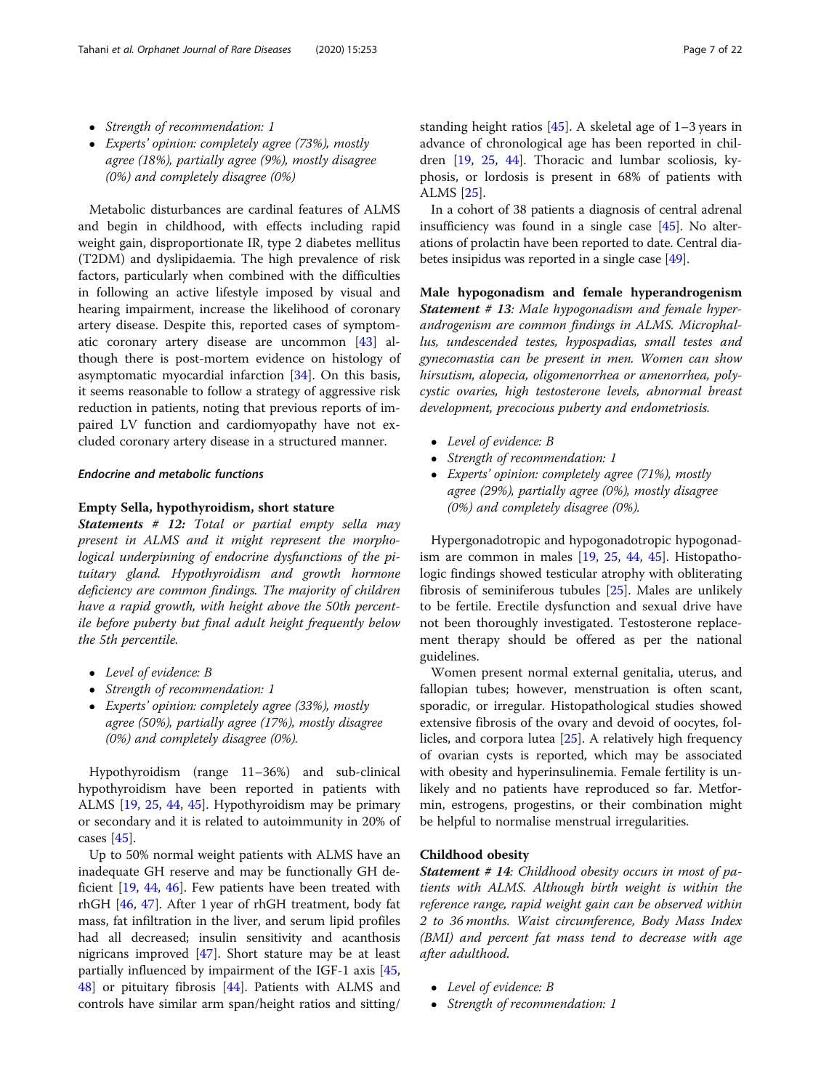- Strength of recommendation: 1
- Experts' opinion: completely agree (73%), mostly agree (18%), partially agree (9%), mostly disagree (0%) and completely disagree (0%)

Metabolic disturbances are cardinal features of ALMS and begin in childhood, with effects including rapid weight gain, disproportionate IR, type 2 diabetes mellitus (T2DM) and dyslipidaemia. The high prevalence of risk factors, particularly when combined with the difficulties in following an active lifestyle imposed by visual and hearing impairment, increase the likelihood of coronary artery disease. Despite this, reported cases of symptomatic coronary artery disease are uncommon [[43](#page-20-0)] although there is post-mortem evidence on histology of asymptomatic myocardial infarction [[34](#page-20-0)]. On this basis, it seems reasonable to follow a strategy of aggressive risk reduction in patients, noting that previous reports of impaired LV function and cardiomyopathy have not excluded coronary artery disease in a structured manner.

#### Endocrine and metabolic functions

#### Empty Sella, hypothyroidism, short stature

Statements # 12: Total or partial empty sella may present in ALMS and it might represent the morphological underpinning of endocrine dysfunctions of the pituitary gland. Hypothyroidism and growth hormone deficiency are common findings. The majority of children have a rapid growth, with height above the 50th percentile before puberty but final adult height frequently below the 5th percentile.

- Level of evidence: B
- Strength of recommendation: 1
- Experts' opinion: completely agree (33%), mostly agree (50%), partially agree (17%), mostly disagree (0%) and completely disagree (0%).

Hypothyroidism (range 11–36%) and sub-clinical hypothyroidism have been reported in patients with ALMS [[19,](#page-19-0) [25](#page-20-0), [44,](#page-20-0) [45](#page-20-0)]. Hypothyroidism may be primary or secondary and it is related to autoimmunity in 20% of cases [[45](#page-20-0)].

Up to 50% normal weight patients with ALMS have an inadequate GH reserve and may be functionally GH deficient [[19,](#page-19-0) [44](#page-20-0), [46](#page-20-0)]. Few patients have been treated with rhGH [\[46,](#page-20-0) [47](#page-20-0)]. After 1 year of rhGH treatment, body fat mass, fat infiltration in the liver, and serum lipid profiles had all decreased; insulin sensitivity and acanthosis nigricans improved [[47\]](#page-20-0). Short stature may be at least partially influenced by impairment of the IGF-1 axis [[45](#page-20-0), [48\]](#page-20-0) or pituitary fibrosis [[44](#page-20-0)]. Patients with ALMS and controls have similar arm span/height ratios and sitting/ standing height ratios [[45\]](#page-20-0). A skeletal age of 1–3 years in advance of chronological age has been reported in children [\[19,](#page-19-0) [25](#page-20-0), [44\]](#page-20-0). Thoracic and lumbar scoliosis, kyphosis, or lordosis is present in 68% of patients with ALMS [\[25](#page-20-0)].

In a cohort of 38 patients a diagnosis of central adrenal insufficiency was found in a single case [[45](#page-20-0)]. No alterations of prolactin have been reported to date. Central diabetes insipidus was reported in a single case [\[49](#page-20-0)].

Male hypogonadism and female hyperandrogenism Statement # 13: Male hypogonadism and female hyperandrogenism are common findings in ALMS. Microphallus, undescended testes, hypospadias, small testes and gynecomastia can be present in men. Women can show hirsutism, alopecia, oligomenorrhea or amenorrhea, polycystic ovaries, high testosterone levels, abnormal breast development, precocious puberty and endometriosis.

- Level of evidence: B
- Strength of recommendation: 1
- Experts' opinion: completely agree (71%), mostly agree (29%), partially agree (0%), mostly disagree (0%) and completely disagree (0%).

Hypergonadotropic and hypogonadotropic hypogonadism are common in males [[19](#page-19-0), [25](#page-20-0), [44](#page-20-0), [45](#page-20-0)]. Histopathologic findings showed testicular atrophy with obliterating fibrosis of seminiferous tubules [[25\]](#page-20-0). Males are unlikely to be fertile. Erectile dysfunction and sexual drive have not been thoroughly investigated. Testosterone replacement therapy should be offered as per the national guidelines.

Women present normal external genitalia, uterus, and fallopian tubes; however, menstruation is often scant, sporadic, or irregular. Histopathological studies showed extensive fibrosis of the ovary and devoid of oocytes, follicles, and corpora lutea [\[25](#page-20-0)]. A relatively high frequency of ovarian cysts is reported, which may be associated with obesity and hyperinsulinemia. Female fertility is unlikely and no patients have reproduced so far. Metformin, estrogens, progestins, or their combination might be helpful to normalise menstrual irregularities.

# Childhood obesity

Statement # 14: Childhood obesity occurs in most of patients with ALMS. Although birth weight is within the reference range, rapid weight gain can be observed within 2 to 36 months. Waist circumference, Body Mass Index (BMI) and percent fat mass tend to decrease with age after adulthood.

- Level of evidence: B
- Strength of recommendation: 1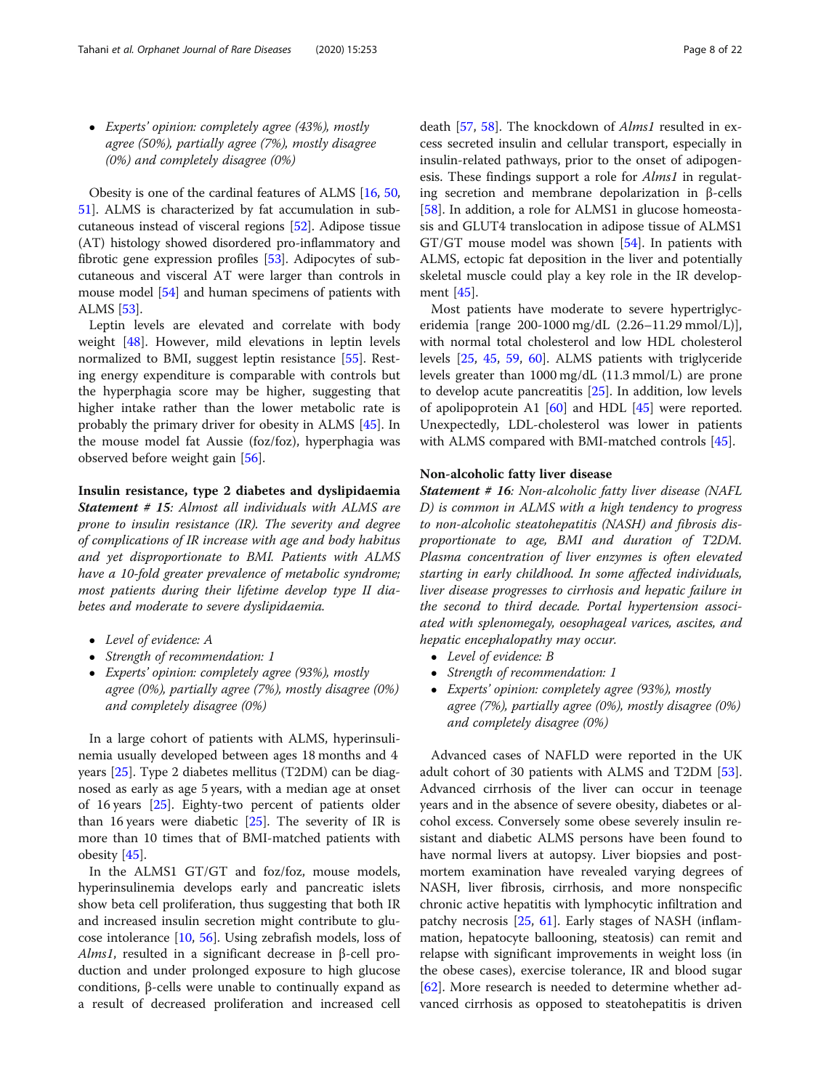• Experts' opinion: completely agree (43%), mostly agree (50%), partially agree (7%), mostly disagree (0%) and completely disagree (0%)

Obesity is one of the cardinal features of ALMS [\[16,](#page-19-0) [50](#page-20-0), [51](#page-20-0)]. ALMS is characterized by fat accumulation in subcutaneous instead of visceral regions [\[52\]](#page-20-0). Adipose tissue (AT) histology showed disordered pro-inflammatory and fibrotic gene expression profiles [\[53](#page-20-0)]. Adipocytes of subcutaneous and visceral AT were larger than controls in mouse model [[54](#page-20-0)] and human specimens of patients with ALMS [[53](#page-20-0)].

Leptin levels are elevated and correlate with body weight [\[48](#page-20-0)]. However, mild elevations in leptin levels normalized to BMI, suggest leptin resistance [[55](#page-20-0)]. Resting energy expenditure is comparable with controls but the hyperphagia score may be higher, suggesting that higher intake rather than the lower metabolic rate is probably the primary driver for obesity in ALMS [[45](#page-20-0)]. In the mouse model fat Aussie (foz/foz), hyperphagia was observed before weight gain [\[56](#page-20-0)].

Insulin resistance, type 2 diabetes and dyslipidaemia **Statement** # 15: Almost all individuals with ALMS are prone to insulin resistance (IR). The severity and degree of complications of IR increase with age and body habitus and yet disproportionate to BMI. Patients with ALMS have a 10-fold greater prevalence of metabolic syndrome; most patients during their lifetime develop type II diabetes and moderate to severe dyslipidaemia.

- Level of evidence: A
- Strength of recommendation: 1
- Experts' opinion: completely agree (93%), mostly agree (0%), partially agree (7%), mostly disagree (0%) and completely disagree (0%)

In a large cohort of patients with ALMS, hyperinsulinemia usually developed between ages 18 months and 4 years [\[25](#page-20-0)]. Type 2 diabetes mellitus (T2DM) can be diagnosed as early as age 5 years, with a median age at onset of 16 years [\[25](#page-20-0)]. Eighty-two percent of patients older than 16 years were diabetic  $[25]$  $[25]$ . The severity of IR is more than 10 times that of BMI-matched patients with obesity [\[45](#page-20-0)].

In the ALMS1 GT/GT and foz/foz, mouse models, hyperinsulinemia develops early and pancreatic islets show beta cell proliferation, thus suggesting that both IR and increased insulin secretion might contribute to glucose intolerance [\[10](#page-19-0), [56](#page-20-0)]. Using zebrafish models, loss of Alms1, resulted in a significant decrease in β-cell production and under prolonged exposure to high glucose conditions, β-cells were unable to continually expand as a result of decreased proliferation and increased cell death [[57,](#page-20-0) [58\]](#page-20-0). The knockdown of *Alms1* resulted in excess secreted insulin and cellular transport, especially in insulin-related pathways, prior to the onset of adipogenesis. These findings support a role for *Alms1* in regulating secretion and membrane depolarization in β-cells [[58\]](#page-20-0). In addition, a role for ALMS1 in glucose homeostasis and GLUT4 translocation in adipose tissue of ALMS1 GT/GT mouse model was shown [[54\]](#page-20-0). In patients with ALMS, ectopic fat deposition in the liver and potentially skeletal muscle could play a key role in the IR development [[45\]](#page-20-0).

Most patients have moderate to severe hypertriglyceridemia [range 200-1000 mg/dL (2.26–11.29 mmol/L)], with normal total cholesterol and low HDL cholesterol levels [\[25](#page-20-0), [45,](#page-20-0) [59](#page-20-0), [60](#page-20-0)]. ALMS patients with triglyceride levels greater than 1000 mg/dL (11.3 mmol/L) are prone to develop acute pancreatitis [\[25](#page-20-0)]. In addition, low levels of apolipoprotein A1 [[60\]](#page-20-0) and HDL [[45](#page-20-0)] were reported. Unexpectedly, LDL-cholesterol was lower in patients with ALMS compared with BMI-matched controls [[45](#page-20-0)].

#### Non-alcoholic fatty liver disease

Statement # 16: Non-alcoholic fatty liver disease (NAFL D) is common in ALMS with a high tendency to progress to non-alcoholic steatohepatitis (NASH) and fibrosis disproportionate to age, BMI and duration of T2DM. Plasma concentration of liver enzymes is often elevated starting in early childhood. In some affected individuals, liver disease progresses to cirrhosis and hepatic failure in the second to third decade. Portal hypertension associated with splenomegaly, oesophageal varices, ascites, and hepatic encephalopathy may occur.

- Level of evidence: B
- Strength of recommendation: 1
- Experts' opinion: completely agree (93%), mostly agree (7%), partially agree (0%), mostly disagree (0%) and completely disagree (0%)

Advanced cases of NAFLD were reported in the UK adult cohort of 30 patients with ALMS and T2DM [\[53](#page-20-0)]. Advanced cirrhosis of the liver can occur in teenage years and in the absence of severe obesity, diabetes or alcohol excess. Conversely some obese severely insulin resistant and diabetic ALMS persons have been found to have normal livers at autopsy. Liver biopsies and postmortem examination have revealed varying degrees of NASH, liver fibrosis, cirrhosis, and more nonspecific chronic active hepatitis with lymphocytic infiltration and patchy necrosis [[25,](#page-20-0) [61](#page-20-0)]. Early stages of NASH (inflammation, hepatocyte ballooning, steatosis) can remit and relapse with significant improvements in weight loss (in the obese cases), exercise tolerance, IR and blood sugar [[62\]](#page-20-0). More research is needed to determine whether advanced cirrhosis as opposed to steatohepatitis is driven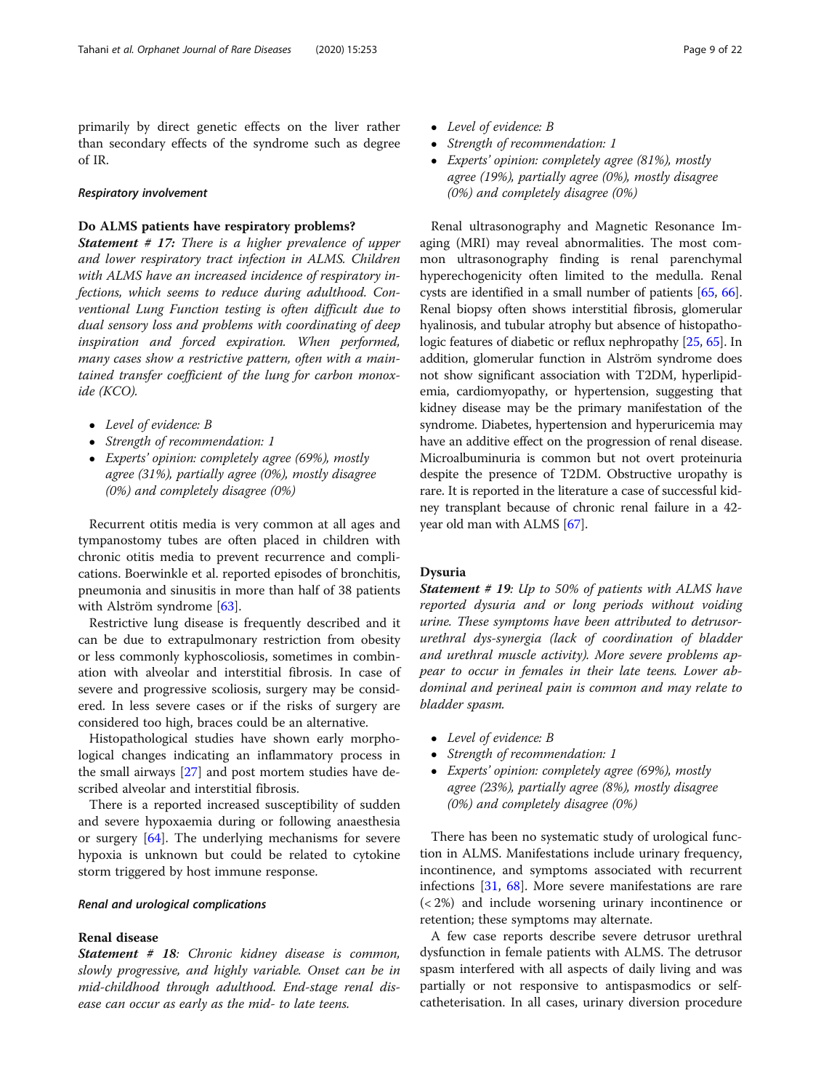primarily by direct genetic effects on the liver rather than secondary effects of the syndrome such as degree of IR.

#### Respiratory involvement

# Do ALMS patients have respiratory problems?

Statement # 17: There is a higher prevalence of upper and lower respiratory tract infection in ALMS. Children with ALMS have an increased incidence of respiratory infections, which seems to reduce during adulthood. Conventional Lung Function testing is often difficult due to dual sensory loss and problems with coordinating of deep inspiration and forced expiration. When performed, many cases show a restrictive pattern, often with a maintained transfer coefficient of the lung for carbon monoxide (KCO).

- Level of evidence: B
- Strength of recommendation: 1
- Experts' opinion: completely agree (69%), mostly agree (31%), partially agree (0%), mostly disagree (0%) and completely disagree (0%)

Recurrent otitis media is very common at all ages and tympanostomy tubes are often placed in children with chronic otitis media to prevent recurrence and complications. Boerwinkle et al. reported episodes of bronchitis, pneumonia and sinusitis in more than half of 38 patients with Alström syndrome [\[63](#page-20-0)].

Restrictive lung disease is frequently described and it can be due to extrapulmonary restriction from obesity or less commonly kyphoscoliosis, sometimes in combination with alveolar and interstitial fibrosis. In case of severe and progressive scoliosis, surgery may be considered. In less severe cases or if the risks of surgery are considered too high, braces could be an alternative.

Histopathological studies have shown early morphological changes indicating an inflammatory process in the small airways [[27](#page-20-0)] and post mortem studies have described alveolar and interstitial fibrosis.

There is a reported increased susceptibility of sudden and severe hypoxaemia during or following anaesthesia or surgery [\[64\]](#page-20-0). The underlying mechanisms for severe hypoxia is unknown but could be related to cytokine storm triggered by host immune response.

#### Renal and urological complications

# Renal disease

**Statement** # 18: Chronic kidney disease is common, slowly progressive, and highly variable. Onset can be in mid-childhood through adulthood. End-stage renal disease can occur as early as the mid- to late teens.

- Level of evidence: B
- Strength of recommendation: 1
- Experts' opinion: completely agree (81%), mostly agree (19%), partially agree (0%), mostly disagree (0%) and completely disagree (0%)

Renal ultrasonography and Magnetic Resonance Imaging (MRI) may reveal abnormalities. The most common ultrasonography finding is renal parenchymal hyperechogenicity often limited to the medulla. Renal cysts are identified in a small number of patients [[65,](#page-20-0) [66](#page-20-0)]. Renal biopsy often shows interstitial fibrosis, glomerular hyalinosis, and tubular atrophy but absence of histopathologic features of diabetic or reflux nephropathy [\[25,](#page-20-0) [65](#page-20-0)]. In addition, glomerular function in Alström syndrome does not show significant association with T2DM, hyperlipidemia, cardiomyopathy, or hypertension, suggesting that kidney disease may be the primary manifestation of the syndrome. Diabetes, hypertension and hyperuricemia may have an additive effect on the progression of renal disease. Microalbuminuria is common but not overt proteinuria despite the presence of T2DM. Obstructive uropathy is rare. It is reported in the literature a case of successful kidney transplant because of chronic renal failure in a 42 year old man with ALMS [[67](#page-21-0)].

#### Dysuria

Statement # 19: Up to 50% of patients with ALMS have reported dysuria and or long periods without voiding urine. These symptoms have been attributed to detrusorurethral dys-synergia (lack of coordination of bladder and urethral muscle activity). More severe problems appear to occur in females in their late teens. Lower abdominal and perineal pain is common and may relate to bladder spasm.

- Level of evidence: B
- Strength of recommendation: 1
- Experts' opinion: completely agree (69%), mostly agree (23%), partially agree (8%), mostly disagree (0%) and completely disagree (0%)

There has been no systematic study of urological function in ALMS. Manifestations include urinary frequency, incontinence, and symptoms associated with recurrent infections [[31](#page-20-0), [68\]](#page-21-0). More severe manifestations are rare (< 2%) and include worsening urinary incontinence or retention; these symptoms may alternate.

A few case reports describe severe detrusor urethral dysfunction in female patients with ALMS. The detrusor spasm interfered with all aspects of daily living and was partially or not responsive to antispasmodics or selfcatheterisation. In all cases, urinary diversion procedure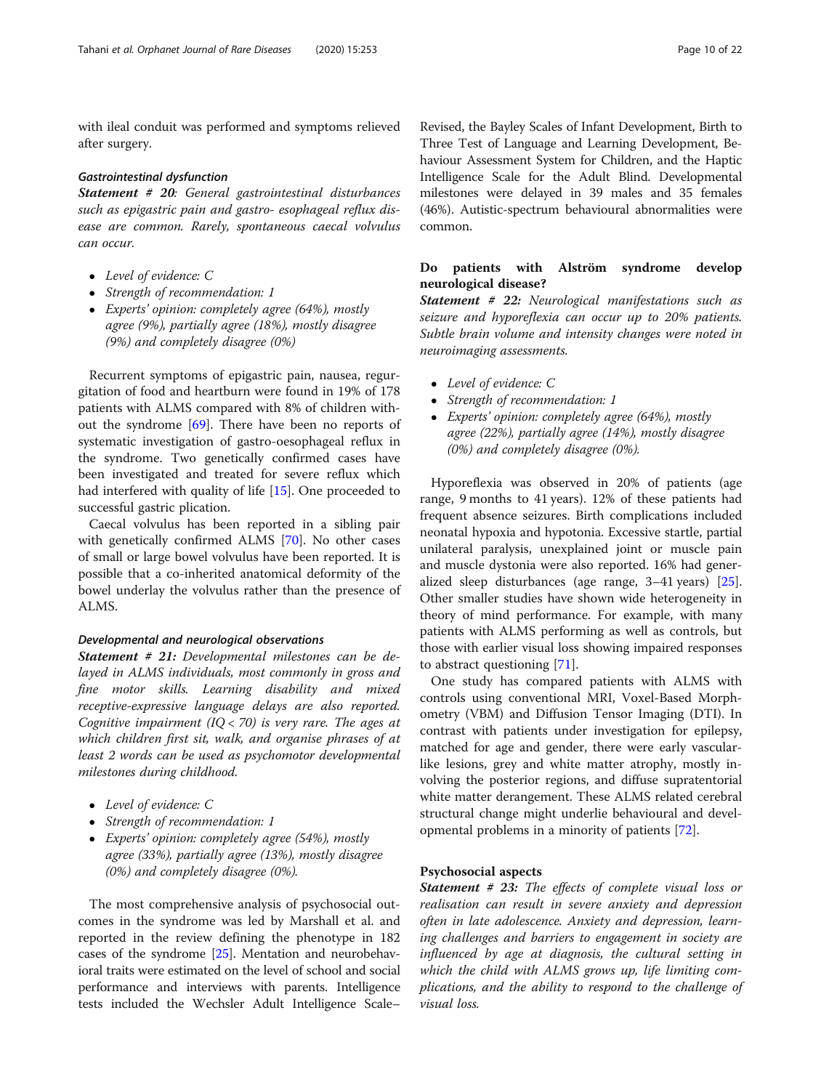with ileal conduit was performed and symptoms relieved after surgery.

#### Gastrointestinal dysfunction

Statement # 20: General gastrointestinal disturbances such as epigastric pain and gastro- esophageal reflux disease are common. Rarely, spontaneous caecal volvulus can occur.

- Level of evidence: C
- Strength of recommendation: 1
- Experts' opinion: completely agree (64%), mostly agree (9%), partially agree (18%), mostly disagree (9%) and completely disagree (0%)

Recurrent symptoms of epigastric pain, nausea, regurgitation of food and heartburn were found in 19% of 178 patients with ALMS compared with 8% of children without the syndrome [[69](#page-21-0)]. There have been no reports of systematic investigation of gastro-oesophageal reflux in the syndrome. Two genetically confirmed cases have been investigated and treated for severe reflux which had interfered with quality of life [[15](#page-19-0)]. One proceeded to successful gastric plication.

Caecal volvulus has been reported in a sibling pair with genetically confirmed ALMS [[70\]](#page-21-0). No other cases of small or large bowel volvulus have been reported. It is possible that a co-inherited anatomical deformity of the bowel underlay the volvulus rather than the presence of ALMS.

#### Developmental and neurological observations

Statement # 21: Developmental milestones can be delayed in ALMS individuals, most commonly in gross and fine motor skills. Learning disability and mixed receptive-expressive language delays are also reported. Cognitive impairment  $(IQ < 70)$  is very rare. The ages at which children first sit, walk, and organise phrases of at least 2 words can be used as psychomotor developmental milestones during childhood.

- Level of evidence: C
- Strength of recommendation: 1
- Experts' opinion: completely agree (54%), mostly agree (33%), partially agree (13%), mostly disagree (0%) and completely disagree (0%).

The most comprehensive analysis of psychosocial outcomes in the syndrome was led by Marshall et al. and reported in the review defining the phenotype in 182 cases of the syndrome [\[25](#page-20-0)]. Mentation and neurobehavioral traits were estimated on the level of school and social performance and interviews with parents. Intelligence tests included the Wechsler Adult Intelligence Scale–

Revised, the Bayley Scales of Infant Development, Birth to Three Test of Language and Learning Development, Behaviour Assessment System for Children, and the Haptic Intelligence Scale for the Adult Blind. Developmental milestones were delayed in 39 males and 35 females (46%). Autistic-spectrum behavioural abnormalities were common.

# Do patients with Alström syndrome develop neurological disease?

Statement # 22: Neurological manifestations such as seizure and hyporeflexia can occur up to 20% patients. Subtle brain volume and intensity changes were noted in neuroimaging assessments.

- Level of evidence: C
- Strength of recommendation: 1
- Experts' opinion: completely agree (64%), mostly agree (22%), partially agree (14%), mostly disagree (0%) and completely disagree (0%).

Hyporeflexia was observed in 20% of patients (age range, 9 months to 41 years). 12% of these patients had frequent absence seizures. Birth complications included neonatal hypoxia and hypotonia. Excessive startle, partial unilateral paralysis, unexplained joint or muscle pain and muscle dystonia were also reported. 16% had generalized sleep disturbances (age range, 3–41 years) [\[25](#page-20-0)]. Other smaller studies have shown wide heterogeneity in theory of mind performance. For example, with many patients with ALMS performing as well as controls, but those with earlier visual loss showing impaired responses to abstract questioning [[71\]](#page-21-0).

One study has compared patients with ALMS with controls using conventional MRI, Voxel-Based Morphometry (VBM) and Diffusion Tensor Imaging (DTI). In contrast with patients under investigation for epilepsy, matched for age and gender, there were early vascularlike lesions, grey and white matter atrophy, mostly involving the posterior regions, and diffuse supratentorial white matter derangement. These ALMS related cerebral structural change might underlie behavioural and developmental problems in a minority of patients [\[72](#page-21-0)].

# Psychosocial aspects

**Statement** # 23: The effects of complete visual loss or realisation can result in severe anxiety and depression often in late adolescence. Anxiety and depression, learning challenges and barriers to engagement in society are influenced by age at diagnosis, the cultural setting in which the child with ALMS grows up, life limiting complications, and the ability to respond to the challenge of visual loss.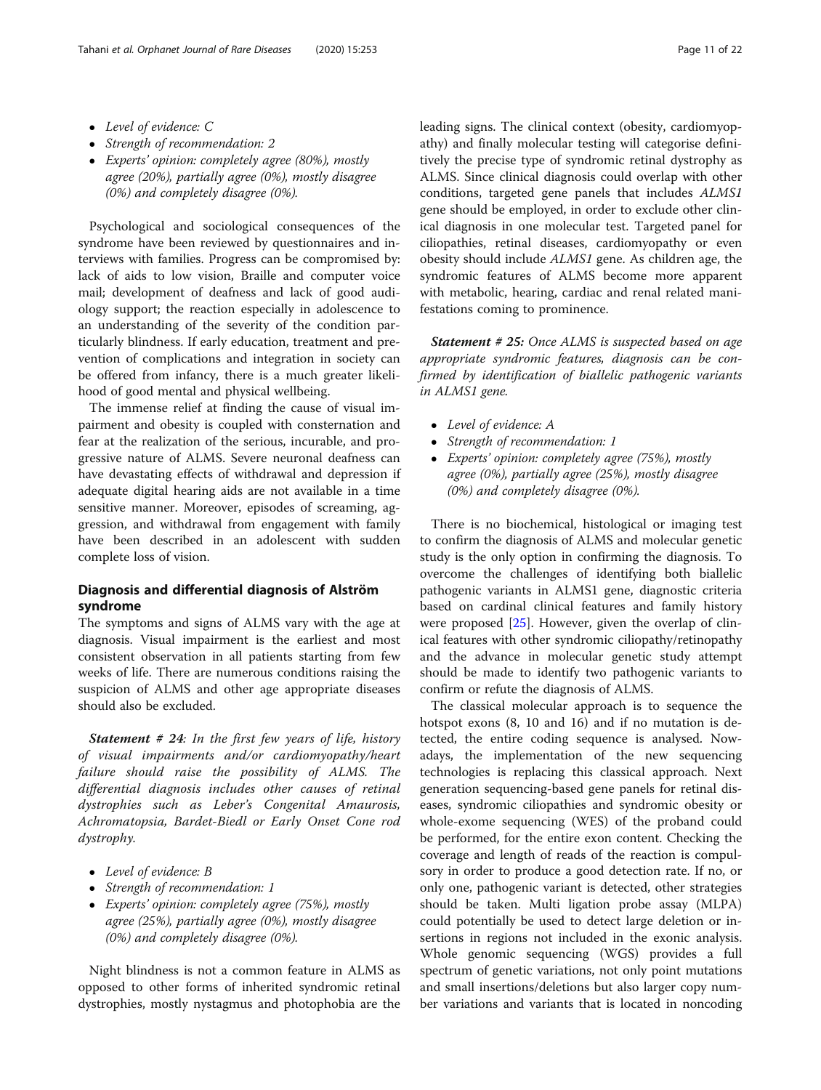- Level of evidence: C
- Strength of recommendation: 2
- Experts' opinion: completely agree (80%), mostly agree (20%), partially agree (0%), mostly disagree (0%) and completely disagree (0%).

Psychological and sociological consequences of the syndrome have been reviewed by questionnaires and interviews with families. Progress can be compromised by: lack of aids to low vision, Braille and computer voice mail; development of deafness and lack of good audiology support; the reaction especially in adolescence to an understanding of the severity of the condition particularly blindness. If early education, treatment and prevention of complications and integration in society can be offered from infancy, there is a much greater likelihood of good mental and physical wellbeing.

The immense relief at finding the cause of visual impairment and obesity is coupled with consternation and fear at the realization of the serious, incurable, and progressive nature of ALMS. Severe neuronal deafness can have devastating effects of withdrawal and depression if adequate digital hearing aids are not available in a time sensitive manner. Moreover, episodes of screaming, aggression, and withdrawal from engagement with family have been described in an adolescent with sudden complete loss of vision.

# Diagnosis and differential diagnosis of Alström syndrome

The symptoms and signs of ALMS vary with the age at diagnosis. Visual impairment is the earliest and most consistent observation in all patients starting from few weeks of life. There are numerous conditions raising the suspicion of ALMS and other age appropriate diseases should also be excluded.

**Statement**  $# 24$ : In the first few years of life, history of visual impairments and/or cardiomyopathy/heart failure should raise the possibility of ALMS. The differential diagnosis includes other causes of retinal dystrophies such as Leber's Congenital Amaurosis, Achromatopsia, Bardet-Biedl or Early Onset Cone rod dystrophy.

- Level of evidence: B
- Strength of recommendation: 1
- Experts' opinion: completely agree (75%), mostly agree (25%), partially agree (0%), mostly disagree (0%) and completely disagree (0%).

Night blindness is not a common feature in ALMS as opposed to other forms of inherited syndromic retinal dystrophies, mostly nystagmus and photophobia are the leading signs. The clinical context (obesity, cardiomyopathy) and finally molecular testing will categorise definitively the precise type of syndromic retinal dystrophy as ALMS. Since clinical diagnosis could overlap with other conditions, targeted gene panels that includes ALMS1 gene should be employed, in order to exclude other clinical diagnosis in one molecular test. Targeted panel for ciliopathies, retinal diseases, cardiomyopathy or even obesity should include ALMS1 gene. As children age, the syndromic features of ALMS become more apparent with metabolic, hearing, cardiac and renal related manifestations coming to prominence.

Statement # 25: Once ALMS is suspected based on age appropriate syndromic features, diagnosis can be confirmed by identification of biallelic pathogenic variants in ALMS1 gene.

- Level of evidence: A
- Strength of recommendation: 1
- Experts' opinion: completely agree (75%), mostly agree (0%), partially agree (25%), mostly disagree (0%) and completely disagree (0%).

There is no biochemical, histological or imaging test to confirm the diagnosis of ALMS and molecular genetic study is the only option in confirming the diagnosis. To overcome the challenges of identifying both biallelic pathogenic variants in ALMS1 gene, diagnostic criteria based on cardinal clinical features and family history were proposed [\[25](#page-20-0)]. However, given the overlap of clinical features with other syndromic ciliopathy/retinopathy and the advance in molecular genetic study attempt should be made to identify two pathogenic variants to confirm or refute the diagnosis of ALMS.

The classical molecular approach is to sequence the hotspot exons (8, 10 and 16) and if no mutation is detected, the entire coding sequence is analysed. Nowadays, the implementation of the new sequencing technologies is replacing this classical approach. Next generation sequencing-based gene panels for retinal diseases, syndromic ciliopathies and syndromic obesity or whole-exome sequencing (WES) of the proband could be performed, for the entire exon content. Checking the coverage and length of reads of the reaction is compulsory in order to produce a good detection rate. If no, or only one, pathogenic variant is detected, other strategies should be taken. Multi ligation probe assay (MLPA) could potentially be used to detect large deletion or insertions in regions not included in the exonic analysis. Whole genomic sequencing (WGS) provides a full spectrum of genetic variations, not only point mutations and small insertions/deletions but also larger copy number variations and variants that is located in noncoding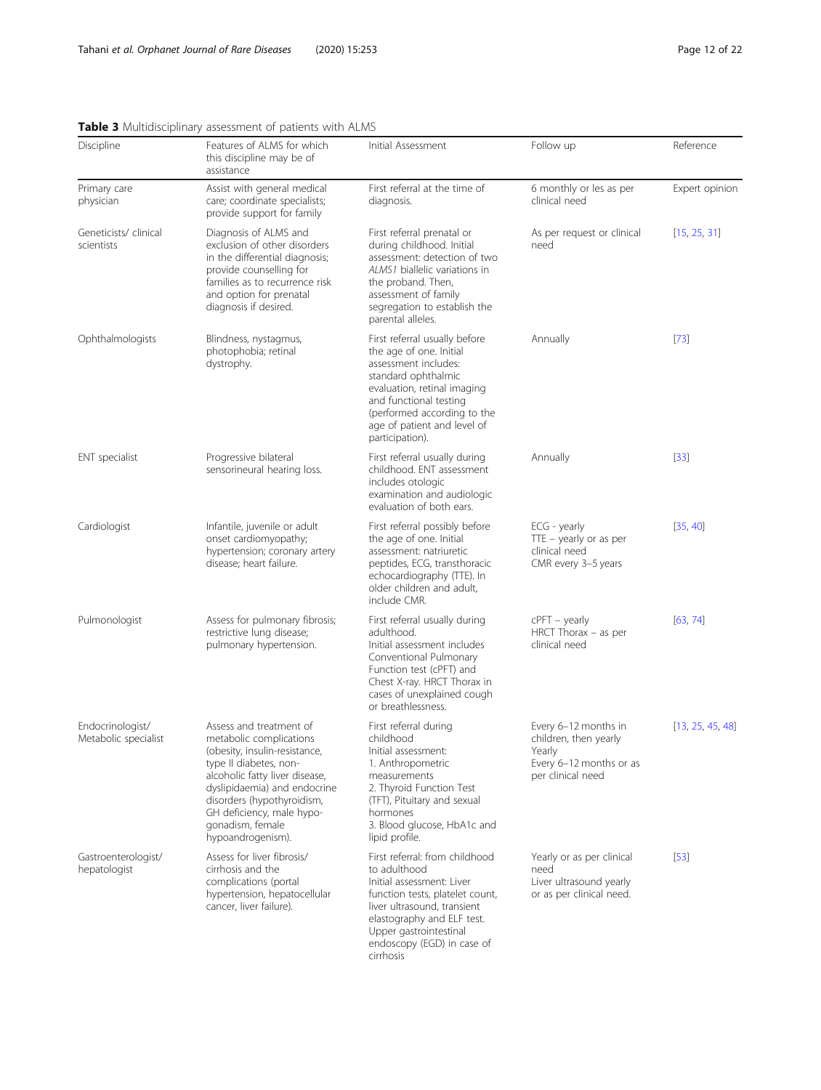# <span id="page-11-0"></span>Table 3 Multidisciplinary assessment of patients with ALMS

|                                          | <b>TWATE 3</b> INTERNATIONAL BITTER OF PURCHTS WITH ALLAS                                                                                                                                                                                                                           |                                                                                                                                                                                                                                                   |                                                                                                         |                  |
|------------------------------------------|-------------------------------------------------------------------------------------------------------------------------------------------------------------------------------------------------------------------------------------------------------------------------------------|---------------------------------------------------------------------------------------------------------------------------------------------------------------------------------------------------------------------------------------------------|---------------------------------------------------------------------------------------------------------|------------------|
| Discipline                               | Features of ALMS for which<br>this discipline may be of<br>assistance                                                                                                                                                                                                               | Initial Assessment                                                                                                                                                                                                                                | Follow up                                                                                               | Reference        |
| Primary care<br>physician                | Assist with general medical<br>care; coordinate specialists;<br>provide support for family                                                                                                                                                                                          | First referral at the time of<br>diagnosis.                                                                                                                                                                                                       | 6 monthly or les as per<br>clinical need                                                                | Expert opinion   |
| Geneticists/ clinical<br>scientists      | Diagnosis of ALMS and<br>exclusion of other disorders<br>in the differential diagnosis;<br>provide counselling for<br>families as to recurrence risk<br>and option for prenatal<br>diagnosis if desired.                                                                            | First referral prenatal or<br>during childhood. Initial<br>assessment: detection of two<br>ALMS1 biallelic variations in<br>the proband. Then,<br>assessment of family<br>segregation to establish the<br>parental alleles.                       | As per request or clinical<br>need                                                                      | [15, 25, 31]     |
| Ophthalmologists                         | Blindness, nystagmus,<br>photophobia; retinal<br>dystrophy.                                                                                                                                                                                                                         | First referral usually before<br>the age of one. Initial<br>assessment includes:<br>standard ophthalmic<br>evaluation, retinal imaging<br>and functional testing<br>(performed according to the<br>age of patient and level of<br>participation). | Annually                                                                                                | $[73]$           |
| <b>ENT</b> specialist                    | Progressive bilateral<br>sensorineural hearing loss.                                                                                                                                                                                                                                | First referral usually during<br>childhood. ENT assessment<br>includes otologic<br>examination and audiologic<br>evaluation of both ears.                                                                                                         | Annually                                                                                                | $[33]$           |
| Cardiologist                             | Infantile, juvenile or adult<br>onset cardiomyopathy;<br>hypertension; coronary artery<br>disease; heart failure.                                                                                                                                                                   | First referral possibly before<br>the age of one. Initial<br>assessment: natriuretic<br>peptides, ECG, transthoracic<br>echocardiography (TTE). In<br>older children and adult,<br>include CMR.                                                   | ECG - yearly<br>$TTE - yearly$ or as per<br>clinical need<br>CMR every 3-5 years                        | [35, 40]         |
| Pulmonologist                            | Assess for pulmonary fibrosis;<br>restrictive lung disease;<br>pulmonary hypertension.                                                                                                                                                                                              | First referral usually during<br>adulthood.<br>Initial assessment includes<br>Conventional Pulmonary<br>Function test (cPFT) and<br>Chest X-ray. HRCT Thorax in<br>cases of unexplained cough<br>or breathlessness.                               | $C$ PFT $-$ yearly<br>HRCT Thorax $-$ as per<br>clinical need                                           | [63, 74]         |
| Endocrinologist/<br>Metabolic specialist | Assess and treatment of<br>metabolic complications<br>(obesity, insulin-resistance,<br>type II diabetes, non-<br>alcoholic fatty liver disease,<br>dyslipidaemia) and endocrine<br>disorders (hypothyroidism,<br>GH deficiency, male hypo-<br>gonadism, female<br>hypoandrogenism). | First referral during<br>childhood<br>Initial assessment:<br>1. Anthropometric<br>measurements<br>2. Thyroid Function Test<br>(TFT), Pituitary and sexual<br>hormones<br>3. Blood glucose, HbA1c and<br>lipid profile.                            | Every 6-12 months in<br>children, then yearly<br>Yearly<br>Every 6-12 months or as<br>per clinical need | [13, 25, 45, 48] |
| Gastroenterologist/<br>hepatologist      | Assess for liver fibrosis/<br>cirrhosis and the<br>complications (portal<br>hypertension, hepatocellular<br>cancer, liver failure).                                                                                                                                                 | First referral: from childhood<br>to adulthood<br>Initial assessment: Liver<br>function tests, platelet count,<br>liver ultrasound, transient<br>elastography and ELF test.<br>Upper gastrointestinal<br>endoscopy (EGD) in case of<br>cirrhosis  | Yearly or as per clinical<br>need<br>Liver ultrasound yearly<br>or as per clinical need.                | $[53]$           |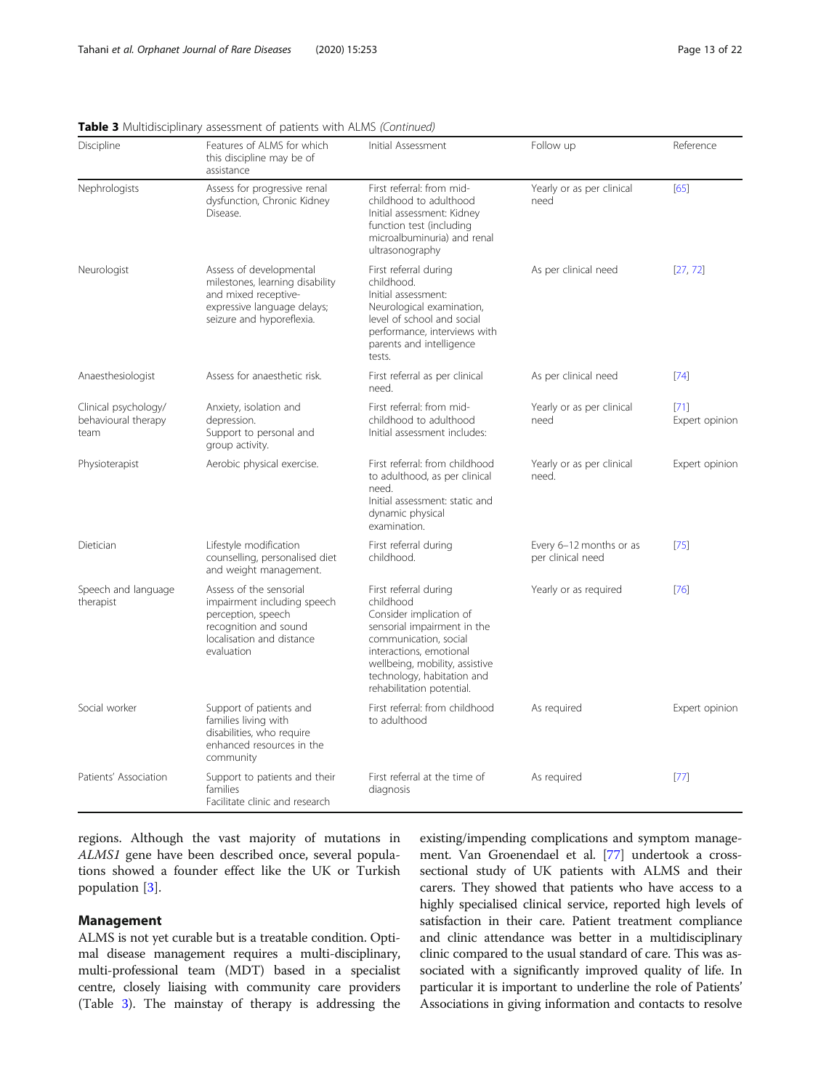| Discipline                                          | Features of ALMS for which<br>this discipline may be of<br>assistance                                                                            | Initial Assessment                                                                                                                                                                                                                            | Follow up                                    | Reference              |
|-----------------------------------------------------|--------------------------------------------------------------------------------------------------------------------------------------------------|-----------------------------------------------------------------------------------------------------------------------------------------------------------------------------------------------------------------------------------------------|----------------------------------------------|------------------------|
| Nephrologists                                       | Assess for progressive renal<br>dysfunction, Chronic Kidney<br>Disease.                                                                          | First referral: from mid-<br>childhood to adulthood<br>Initial assessment: Kidney<br>function test (including<br>microalbuminuria) and renal<br>ultrasonography                                                                               | Yearly or as per clinical<br>need            | [65]                   |
| Neurologist                                         | Assess of developmental<br>milestones, learning disability<br>and mixed receptive-<br>expressive language delays;<br>seizure and hyporeflexia.   | First referral during<br>childhood.<br>Initial assessment:<br>Neurological examination,<br>level of school and social<br>performance, interviews with<br>parents and intelligence<br>tests.                                                   | As per clinical need                         | [27, 72]               |
| Anaesthesiologist                                   | Assess for anaesthetic risk.                                                                                                                     | First referral as per clinical<br>need.                                                                                                                                                                                                       | As per clinical need                         | [74]                   |
| Clinical psychology/<br>behavioural therapy<br>team | Anxiety, isolation and<br>depression.<br>Support to personal and<br>group activity.                                                              | First referral: from mid-<br>childhood to adulthood<br>Initial assessment includes:                                                                                                                                                           | Yearly or as per clinical<br>need            | [71]<br>Expert opinion |
| Physioterapist                                      | Aerobic physical exercise.                                                                                                                       | First referral: from childhood<br>to adulthood, as per clinical<br>need.<br>Initial assessment: static and<br>dynamic physical<br>examination.                                                                                                | Yearly or as per clinical<br>need.           | Expert opinion         |
| Dietician                                           | Lifestyle modification<br>counselling, personalised diet<br>and weight management.                                                               | First referral during<br>childhood.                                                                                                                                                                                                           | Every 6-12 months or as<br>per clinical need | $[75]$                 |
| Speech and language<br>therapist                    | Assess of the sensorial<br>impairment including speech<br>perception, speech<br>recognition and sound<br>localisation and distance<br>evaluation | First referral during<br>childhood<br>Consider implication of<br>sensorial impairment in the<br>communication, social<br>interactions, emotional<br>wellbeing, mobility, assistive<br>technology, habitation and<br>rehabilitation potential. | Yearly or as required                        | [76]                   |
| Social worker                                       | Support of patients and<br>families living with<br>disabilities, who require<br>enhanced resources in the<br>community                           | First referral: from childhood<br>to adulthood                                                                                                                                                                                                | As required                                  | Expert opinion         |
| Patients' Association                               | Support to patients and their<br>families<br>Facilitate clinic and research                                                                      | First referral at the time of<br>diagnosis                                                                                                                                                                                                    | As required                                  | $[77]$                 |

#### Table 3 Multidisciplinary assessment of patients with ALMS (Continued)

regions. Although the vast majority of mutations in ALMS1 gene have been described once, several populations showed a founder effect like the UK or Turkish population [[3\]](#page-19-0).

#### Management

ALMS is not yet curable but is a treatable condition. Optimal disease management requires a multi-disciplinary, multi-professional team (MDT) based in a specialist centre, closely liaising with community care providers (Table [3](#page-11-0)). The mainstay of therapy is addressing the

existing/impending complications and symptom management. Van Groenendael et al. [[77](#page-21-0)] undertook a crosssectional study of UK patients with ALMS and their carers. They showed that patients who have access to a highly specialised clinical service, reported high levels of satisfaction in their care. Patient treatment compliance and clinic attendance was better in a multidisciplinary clinic compared to the usual standard of care. This was associated with a significantly improved quality of life. In particular it is important to underline the role of Patients' Associations in giving information and contacts to resolve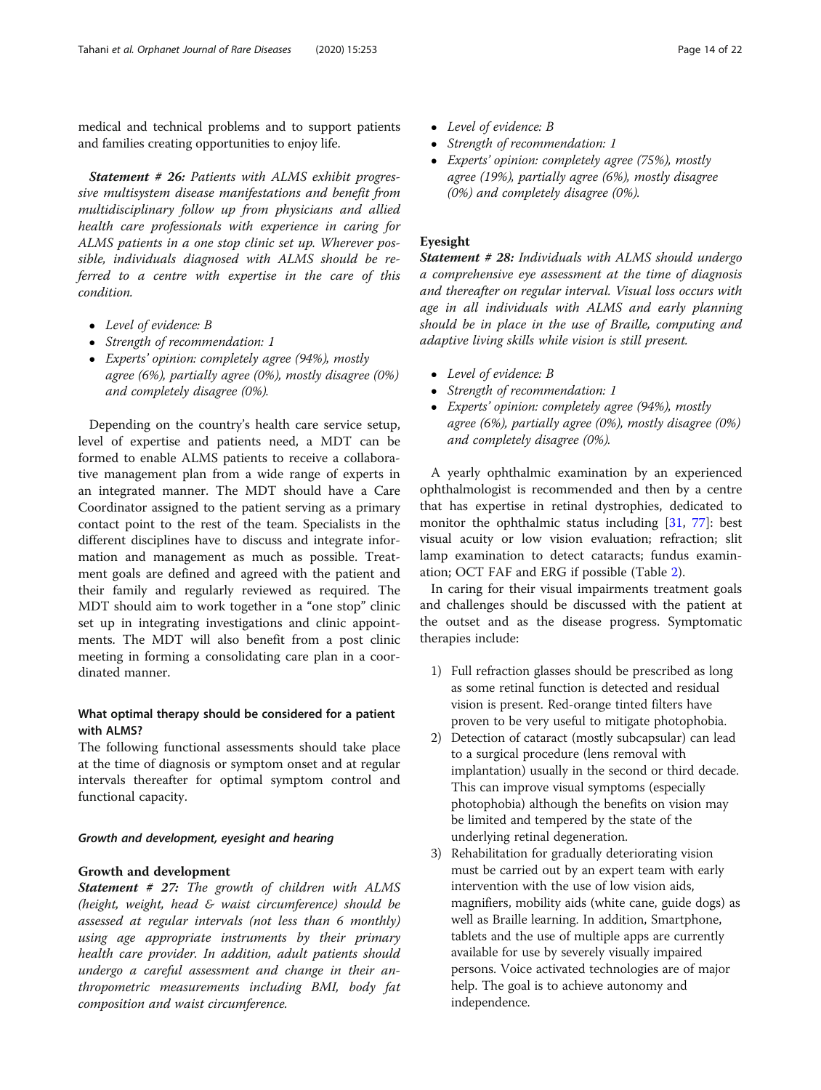medical and technical problems and to support patients and families creating opportunities to enjoy life.

Statement # 26: Patients with ALMS exhibit progressive multisystem disease manifestations and benefit from multidisciplinary follow up from physicians and allied health care professionals with experience in caring for ALMS patients in a one stop clinic set up. Wherever possible, individuals diagnosed with ALMS should be referred to a centre with expertise in the care of this condition.

- Level of evidence: B
- Strength of recommendation: 1
- Experts' opinion: completely agree (94%), mostly agree (6%), partially agree (0%), mostly disagree (0%) and completely disagree (0%).

Depending on the country's health care service setup, level of expertise and patients need, a MDT can be formed to enable ALMS patients to receive a collaborative management plan from a wide range of experts in an integrated manner. The MDT should have a Care Coordinator assigned to the patient serving as a primary contact point to the rest of the team. Specialists in the different disciplines have to discuss and integrate information and management as much as possible. Treatment goals are defined and agreed with the patient and their family and regularly reviewed as required. The MDT should aim to work together in a "one stop" clinic set up in integrating investigations and clinic appointments. The MDT will also benefit from a post clinic meeting in forming a consolidating care plan in a coordinated manner.

# What optimal therapy should be considered for a patient with ALMS?

The following functional assessments should take place at the time of diagnosis or symptom onset and at regular intervals thereafter for optimal symptom control and functional capacity.

#### Growth and development, eyesight and hearing

#### Growth and development

**Statement** # 27: The growth of children with ALMS (height, weight, head & waist circumference) should be assessed at regular intervals (not less than 6 monthly) using age appropriate instruments by their primary health care provider. In addition, adult patients should undergo a careful assessment and change in their anthropometric measurements including BMI, body fat composition and waist circumference.

- Level of evidence: B
- Strength of recommendation: 1
- Experts' opinion: completely agree (75%), mostly agree (19%), partially agree (6%), mostly disagree (0%) and completely disagree (0%).

#### Eyesight

Statement # 28: Individuals with ALMS should undergo a comprehensive eye assessment at the time of diagnosis and thereafter on regular interval. Visual loss occurs with age in all individuals with ALMS and early planning should be in place in the use of Braille, computing and adaptive living skills while vision is still present.

- Level of evidence: B
- Strength of recommendation: 1
- Experts' opinion: completely agree (94%), mostly agree (6%), partially agree (0%), mostly disagree (0%) and completely disagree (0%).

A yearly ophthalmic examination by an experienced ophthalmologist is recommended and then by a centre that has expertise in retinal dystrophies, dedicated to monitor the ophthalmic status including [[31](#page-20-0), [77](#page-21-0)]: best visual acuity or low vision evaluation; refraction; slit lamp examination to detect cataracts; fundus examination; OCT FAF and ERG if possible (Table [2\)](#page-4-0).

In caring for their visual impairments treatment goals and challenges should be discussed with the patient at the outset and as the disease progress. Symptomatic therapies include:

- 1) Full refraction glasses should be prescribed as long as some retinal function is detected and residual vision is present. Red-orange tinted filters have proven to be very useful to mitigate photophobia.
- 2) Detection of cataract (mostly subcapsular) can lead to a surgical procedure (lens removal with implantation) usually in the second or third decade. This can improve visual symptoms (especially photophobia) although the benefits on vision may be limited and tempered by the state of the underlying retinal degeneration.
- 3) Rehabilitation for gradually deteriorating vision must be carried out by an expert team with early intervention with the use of low vision aids, magnifiers, mobility aids (white cane, guide dogs) as well as Braille learning. In addition, Smartphone, tablets and the use of multiple apps are currently available for use by severely visually impaired persons. Voice activated technologies are of major help. The goal is to achieve autonomy and independence.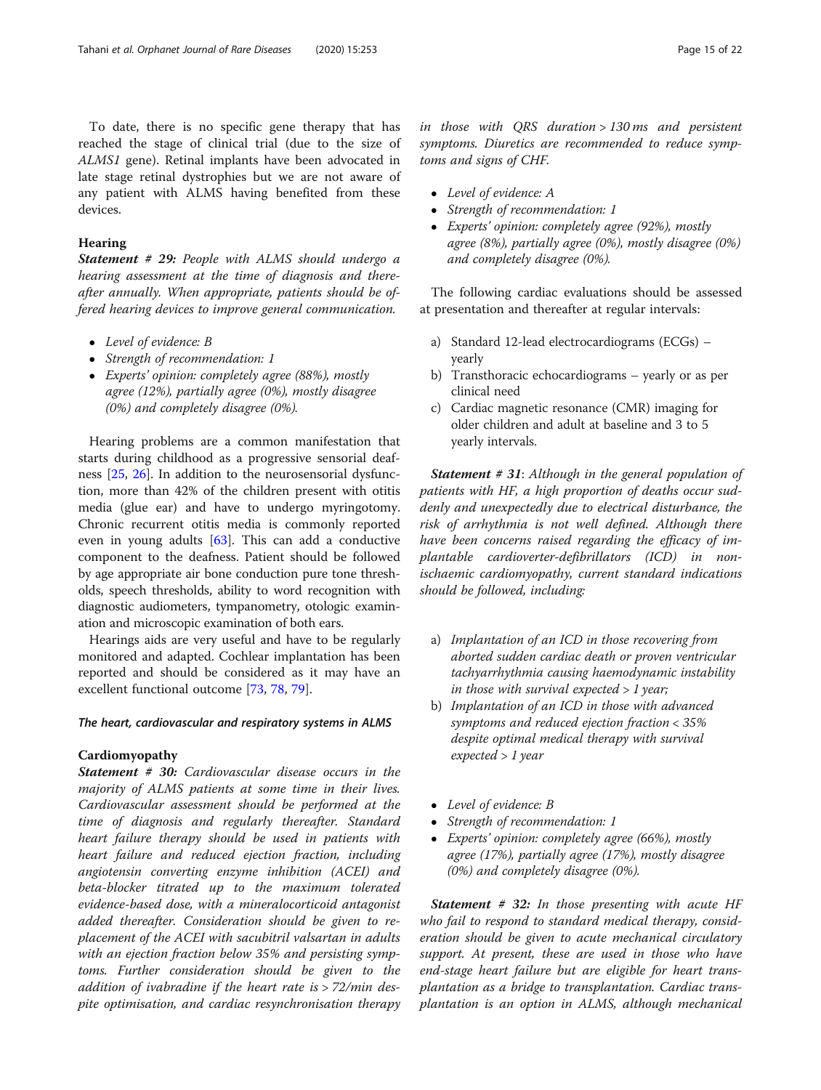To date, there is no specific gene therapy that has reached the stage of clinical trial (due to the size of ALMS1 gene). Retinal implants have been advocated in late stage retinal dystrophies but we are not aware of any patient with ALMS having benefited from these devices.

# **Hearing**

Statement # 29: People with ALMS should undergo a hearing assessment at the time of diagnosis and thereafter annually. When appropriate, patients should be offered hearing devices to improve general communication.

- Level of evidence: B
- Strength of recommendation: 1
- Experts' opinion: completely agree (88%), mostly agree (12%), partially agree (0%), mostly disagree (0%) and completely disagree (0%).

Hearing problems are a common manifestation that starts during childhood as a progressive sensorial deafness [[25,](#page-20-0) [26](#page-20-0)]. In addition to the neurosensorial dysfunction, more than 42% of the children present with otitis media (glue ear) and have to undergo myringotomy. Chronic recurrent otitis media is commonly reported even in young adults [\[63](#page-20-0)]. This can add a conductive component to the deafness. Patient should be followed by age appropriate air bone conduction pure tone thresholds, speech thresholds, ability to word recognition with diagnostic audiometers, tympanometry, otologic examination and microscopic examination of both ears.

Hearings aids are very useful and have to be regularly monitored and adapted. Cochlear implantation has been reported and should be considered as it may have an excellent functional outcome [[73,](#page-21-0) [78](#page-21-0), [79](#page-21-0)].

#### The heart, cardiovascular and respiratory systems in ALMS

# Cardiomyopathy

Statement # 30: Cardiovascular disease occurs in the majority of ALMS patients at some time in their lives. Cardiovascular assessment should be performed at the time of diagnosis and regularly thereafter. Standard heart failure therapy should be used in patients with heart failure and reduced ejection fraction, including angiotensin converting enzyme inhibition (ACEI) and beta-blocker titrated up to the maximum tolerated evidence-based dose, with a mineralocorticoid antagonist added thereafter. Consideration should be given to replacement of the ACEI with sacubitril valsartan in adults with an ejection fraction below 35% and persisting symptoms. Further consideration should be given to the addition of ivabradine if the heart rate is > 72/min despite optimisation, and cardiac resynchronisation therapy

in those with QRS duration > 130 ms and persistent symptoms. Diuretics are recommended to reduce symptoms and signs of CHF.

- Level of evidence: A
- Strength of recommendation: 1
- Experts' opinion: completely agree (92%), mostly agree (8%), partially agree (0%), mostly disagree (0%) and completely disagree (0%).

The following cardiac evaluations should be assessed at presentation and thereafter at regular intervals:

- a) Standard 12-lead electrocardiograms (ECGs) yearly
- b) Transthoracic echocardiograms yearly or as per clinical need
- c) Cardiac magnetic resonance (CMR) imaging for older children and adult at baseline and 3 to 5 yearly intervals.

Statement # 31: Although in the general population of patients with HF, a high proportion of deaths occur suddenly and unexpectedly due to electrical disturbance, the risk of arrhythmia is not well defined. Although there have been concerns raised regarding the efficacy of implantable cardioverter-defibrillators (ICD) in nonischaemic cardiomyopathy, current standard indications should be followed, including:

- a) Implantation of an ICD in those recovering from aborted sudden cardiac death or proven ventricular tachyarrhythmia causing haemodynamic instability in those with survival expected  $> 1$  year;
- b) Implantation of an ICD in those with advanced symptoms and reduced ejection fraction < 35% despite optimal medical therapy with survival  $expected > 1$  year
- Level of evidence: B
- Strength of recommendation: 1
- Experts' opinion: completely agree (66%), mostly agree (17%), partially agree (17%), mostly disagree (0%) and completely disagree (0%).

**Statement**  $# 32$ : In those presenting with acute HF who fail to respond to standard medical therapy, consideration should be given to acute mechanical circulatory support. At present, these are used in those who have end-stage heart failure but are eligible for heart transplantation as a bridge to transplantation. Cardiac transplantation is an option in ALMS, although mechanical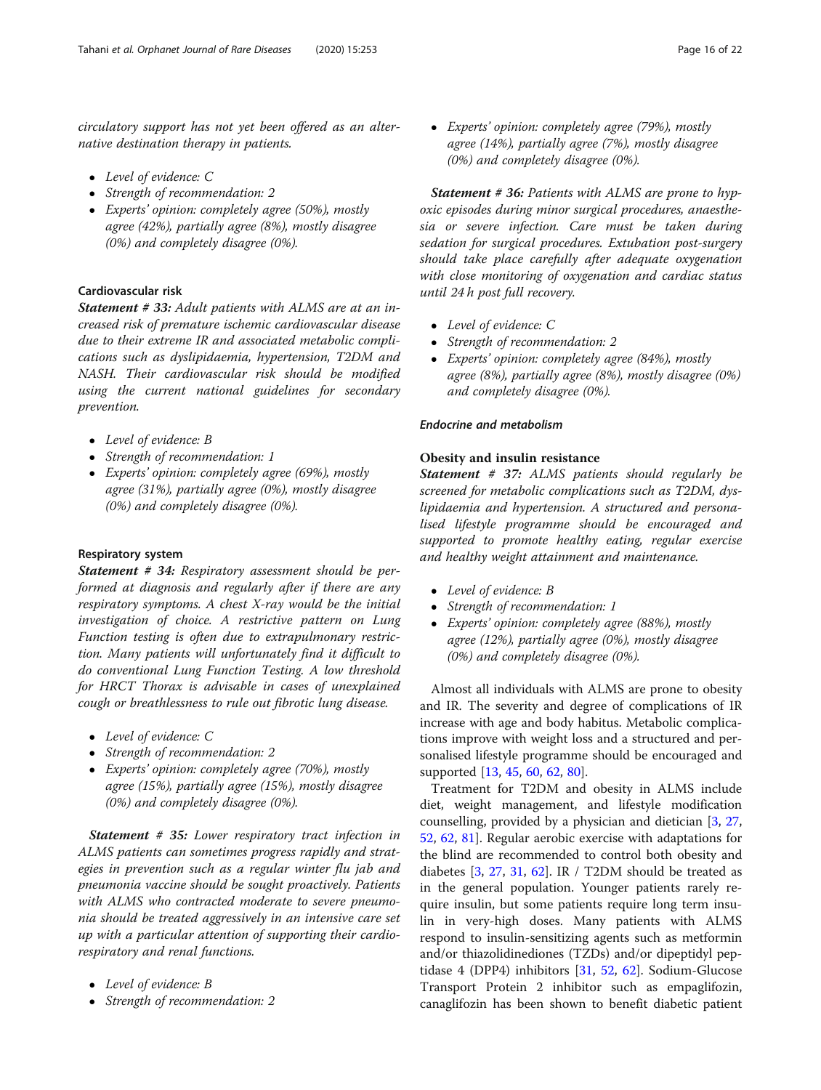circulatory support has not yet been offered as an alternative destination therapy in patients.

- Level of evidence: C
- Strength of recommendation: 2
- Experts' opinion: completely agree (50%), mostly agree (42%), partially agree (8%), mostly disagree (0%) and completely disagree (0%).

# Cardiovascular risk

Statement # 33: Adult patients with ALMS are at an increased risk of premature ischemic cardiovascular disease due to their extreme IR and associated metabolic complications such as dyslipidaemia, hypertension, T2DM and NASH. Their cardiovascular risk should be modified using the current national guidelines for secondary prevention.

- Level of evidence: B
- Strength of recommendation: 1
- Experts' opinion: completely agree (69%), mostly agree (31%), partially agree (0%), mostly disagree (0%) and completely disagree (0%).

#### Respiratory system

Statement # 34: Respiratory assessment should be performed at diagnosis and regularly after if there are any respiratory symptoms. A chest X-ray would be the initial investigation of choice. A restrictive pattern on Lung Function testing is often due to extrapulmonary restriction. Many patients will unfortunately find it difficult to do conventional Lung Function Testing. A low threshold for HRCT Thorax is advisable in cases of unexplained cough or breathlessness to rule out fibrotic lung disease.

- Level of evidence: C
- Strength of recommendation: 2
- Experts' opinion: completely agree (70%), mostly agree (15%), partially agree (15%), mostly disagree (0%) and completely disagree (0%).

Statement # 35: Lower respiratory tract infection in ALMS patients can sometimes progress rapidly and strategies in prevention such as a regular winter flu jab and pneumonia vaccine should be sought proactively. Patients with ALMS who contracted moderate to severe pneumonia should be treated aggressively in an intensive care set up with a particular attention of supporting their cardiorespiratory and renal functions.

- Level of evidence: B
- Strength of recommendation: 2

• Experts' opinion: completely agree (79%), mostly agree (14%), partially agree (7%), mostly disagree (0%) and completely disagree (0%).

**Statement # 36:** Patients with ALMS are prone to hypoxic episodes during minor surgical procedures, anaesthesia or severe infection. Care must be taken during sedation for surgical procedures. Extubation post-surgery should take place carefully after adequate oxygenation with close monitoring of oxygenation and cardiac status until 24 h post full recovery.

- Level of evidence: C
- Strength of recommendation: 2
- Experts' opinion: completely agree (84%), mostly agree (8%), partially agree (8%), mostly disagree (0%) and completely disagree (0%).

#### Endocrine and metabolism

# Obesity and insulin resistance

Statement # 37: ALMS patients should regularly be screened for metabolic complications such as T2DM, dyslipidaemia and hypertension. A structured and personalised lifestyle programme should be encouraged and supported to promote healthy eating, regular exercise and healthy weight attainment and maintenance.

- Level of evidence: B
- Strength of recommendation: 1
- Experts' opinion: completely agree (88%), mostly agree (12%), partially agree (0%), mostly disagree (0%) and completely disagree (0%).

Almost all individuals with ALMS are prone to obesity and IR. The severity and degree of complications of IR increase with age and body habitus. Metabolic complications improve with weight loss and a structured and personalised lifestyle programme should be encouraged and supported [[13,](#page-19-0) [45,](#page-20-0) [60,](#page-20-0) [62](#page-20-0), [80](#page-21-0)].

Treatment for T2DM and obesity in ALMS include diet, weight management, and lifestyle modification counselling, provided by a physician and dietician [\[3](#page-19-0), [27](#page-20-0), [52,](#page-20-0) [62,](#page-20-0) [81\]](#page-21-0). Regular aerobic exercise with adaptations for the blind are recommended to control both obesity and diabetes [\[3](#page-19-0), [27,](#page-20-0) [31](#page-20-0), [62](#page-20-0)]. IR / T2DM should be treated as in the general population. Younger patients rarely require insulin, but some patients require long term insulin in very-high doses. Many patients with ALMS respond to insulin-sensitizing agents such as metformin and/or thiazolidinediones (TZDs) and/or dipeptidyl peptidase 4 (DPP4) inhibitors [\[31](#page-20-0), [52,](#page-20-0) [62\]](#page-20-0). Sodium-Glucose Transport Protein 2 inhibitor such as empaglifozin, canaglifozin has been shown to benefit diabetic patient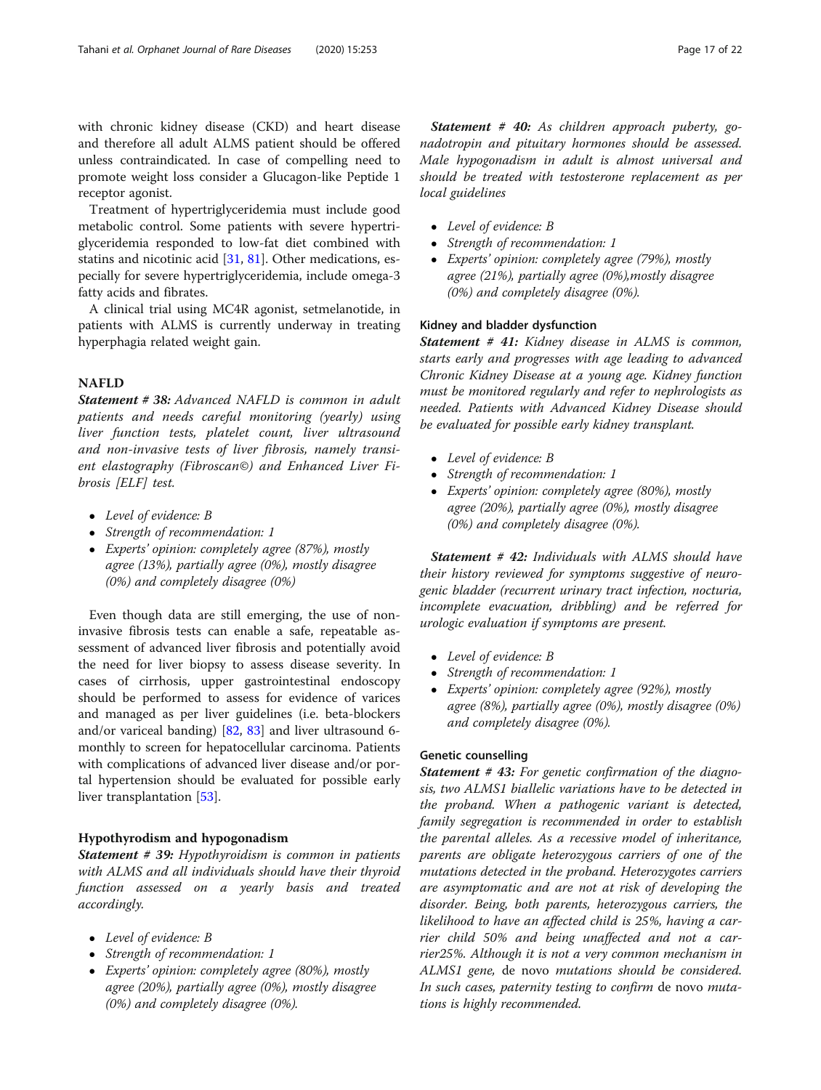with chronic kidney disease (CKD) and heart disease and therefore all adult ALMS patient should be offered unless contraindicated. In case of compelling need to promote weight loss consider a Glucagon-like Peptide 1 receptor agonist.

Treatment of hypertriglyceridemia must include good metabolic control. Some patients with severe hypertriglyceridemia responded to low-fat diet combined with statins and nicotinic acid [[31,](#page-20-0) [81](#page-21-0)]. Other medications, especially for severe hypertriglyceridemia, include omega-3 fatty acids and fibrates.

A clinical trial using MC4R agonist, setmelanotide, in patients with ALMS is currently underway in treating hyperphagia related weight gain.

# NAFLD

Statement # 38: Advanced NAFLD is common in adult patients and needs careful monitoring (yearly) using liver function tests, platelet count, liver ultrasound and non-invasive tests of liver fibrosis, namely transient elastography (Fibroscan©) and Enhanced Liver Fibrosis [ELF] test.

- Level of evidence: B
- Strength of recommendation: 1
- Experts' opinion: completely agree (87%), mostly agree (13%), partially agree (0%), mostly disagree (0%) and completely disagree (0%)

Even though data are still emerging, the use of noninvasive fibrosis tests can enable a safe, repeatable assessment of advanced liver fibrosis and potentially avoid the need for liver biopsy to assess disease severity. In cases of cirrhosis, upper gastrointestinal endoscopy should be performed to assess for evidence of varices and managed as per liver guidelines (i.e. beta-blockers and/or variceal banding) [[82,](#page-21-0) [83](#page-21-0)] and liver ultrasound 6 monthly to screen for hepatocellular carcinoma. Patients with complications of advanced liver disease and/or portal hypertension should be evaluated for possible early liver transplantation [\[53](#page-20-0)].

#### Hypothyrodism and hypogonadism

Statement # 39: Hypothyroidism is common in patients with ALMS and all individuals should have their thyroid function assessed on a yearly basis and treated accordingly.

- Level of evidence: B
- Strength of recommendation: 1
- Experts' opinion: completely agree (80%), mostly agree (20%), partially agree (0%), mostly disagree (0%) and completely disagree (0%).

**Statement**  $#$  40: As children approach puberty, gonadotropin and pituitary hormones should be assessed. Male hypogonadism in adult is almost universal and should be treated with testosterone replacement as per local guidelines

- Level of evidence: B
- Strength of recommendation: 1
- Experts' opinion: completely agree (79%), mostly agree (21%), partially agree (0%),mostly disagree (0%) and completely disagree (0%).

### Kidney and bladder dysfunction

Statement # 41: Kidney disease in ALMS is common, starts early and progresses with age leading to advanced Chronic Kidney Disease at a young age. Kidney function must be monitored regularly and refer to nephrologists as needed. Patients with Advanced Kidney Disease should be evaluated for possible early kidney transplant.

- Level of evidence: B
- Strength of recommendation: 1
- Experts' opinion: completely agree (80%), mostly agree (20%), partially agree (0%), mostly disagree (0%) and completely disagree (0%).

Statement # 42: Individuals with ALMS should have their history reviewed for symptoms suggestive of neurogenic bladder (recurrent urinary tract infection, nocturia, incomplete evacuation, dribbling) and be referred for urologic evaluation if symptoms are present.

- Level of evidence: B
- Strength of recommendation: 1
- Experts' opinion: completely agree (92%), mostly agree (8%), partially agree (0%), mostly disagree (0%) and completely disagree (0%).

# Genetic counselling

Statement # 43: For genetic confirmation of the diagnosis, two ALMS1 biallelic variations have to be detected in the proband. When a pathogenic variant is detected, family segregation is recommended in order to establish the parental alleles. As a recessive model of inheritance, parents are obligate heterozygous carriers of one of the mutations detected in the proband. Heterozygotes carriers are asymptomatic and are not at risk of developing the disorder. Being, both parents, heterozygous carriers, the likelihood to have an affected child is 25%, having a carrier child 50% and being unaffected and not a carrier25%. Although it is not a very common mechanism in ALMS1 gene, de novo mutations should be considered. In such cases, paternity testing to confirm de novo mutations is highly recommended.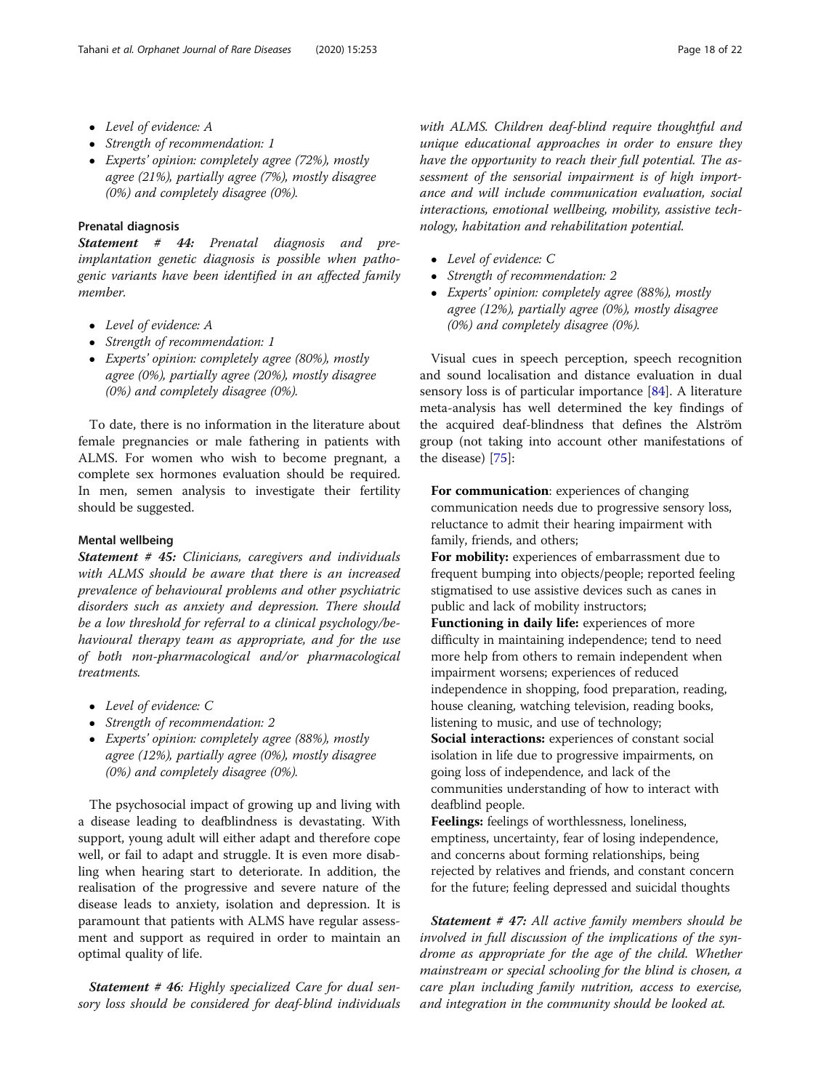- Strength of recommendation: 1
- Experts' opinion: completely agree (72%), mostly agree (21%), partially agree (7%), mostly disagree (0%) and completely disagree (0%).

#### Prenatal diagnosis

Statement # 44: Prenatal diagnosis and preimplantation genetic diagnosis is possible when pathogenic variants have been identified in an affected family member.

- Level of evidence: A
- Strength of recommendation: 1
- Experts' opinion: completely agree (80%), mostly agree (0%), partially agree (20%), mostly disagree (0%) and completely disagree (0%).

To date, there is no information in the literature about female pregnancies or male fathering in patients with ALMS. For women who wish to become pregnant, a complete sex hormones evaluation should be required. In men, semen analysis to investigate their fertility should be suggested.

#### Mental wellbeing

Statement # 45: Clinicians, caregivers and individuals with ALMS should be aware that there is an increased prevalence of behavioural problems and other psychiatric disorders such as anxiety and depression. There should be a low threshold for referral to a clinical psychology/behavioural therapy team as appropriate, and for the use of both non-pharmacological and/or pharmacological treatments.

- Level of evidence: C
- Strength of recommendation: 2
- Experts' opinion: completely agree (88%), mostly agree (12%), partially agree (0%), mostly disagree (0%) and completely disagree (0%).

The psychosocial impact of growing up and living with a disease leading to deafblindness is devastating. With support, young adult will either adapt and therefore cope well, or fail to adapt and struggle. It is even more disabling when hearing start to deteriorate. In addition, the realisation of the progressive and severe nature of the disease leads to anxiety, isolation and depression. It is paramount that patients with ALMS have regular assessment and support as required in order to maintain an optimal quality of life.

**Statement # 46:** Highly specialized Care for dual sensory loss should be considered for deaf-blind individuals

with ALMS. Children deaf-blind require thoughtful and unique educational approaches in order to ensure they have the opportunity to reach their full potential. The assessment of the sensorial impairment is of high importance and will include communication evaluation, social interactions, emotional wellbeing, mobility, assistive technology, habitation and rehabilitation potential.

- Level of evidence: C
- Strength of recommendation: 2
- Experts' opinion: completely agree (88%), mostly agree (12%), partially agree (0%), mostly disagree (0%) and completely disagree (0%).

Visual cues in speech perception, speech recognition and sound localisation and distance evaluation in dual sensory loss is of particular importance [[84\]](#page-21-0). A literature meta-analysis has well determined the key findings of the acquired deaf-blindness that defines the Alström group (not taking into account other manifestations of the disease) [\[75](#page-21-0)]:

For communication: experiences of changing communication needs due to progressive sensory loss, reluctance to admit their hearing impairment with family, friends, and others;

For mobility: experiences of embarrassment due to frequent bumping into objects/people; reported feeling stigmatised to use assistive devices such as canes in public and lack of mobility instructors;

Functioning in daily life: experiences of more difficulty in maintaining independence; tend to need more help from others to remain independent when impairment worsens; experiences of reduced independence in shopping, food preparation, reading, house cleaning, watching television, reading books, listening to music, and use of technology;

Social interactions: experiences of constant social isolation in life due to progressive impairments, on going loss of independence, and lack of the communities understanding of how to interact with deafblind people.

Feelings: feelings of worthlessness, loneliness, emptiness, uncertainty, fear of losing independence, and concerns about forming relationships, being rejected by relatives and friends, and constant concern for the future; feeling depressed and suicidal thoughts

Statement # 47: All active family members should be involved in full discussion of the implications of the syndrome as appropriate for the age of the child. Whether mainstream or special schooling for the blind is chosen, a care plan including family nutrition, access to exercise, and integration in the community should be looked at.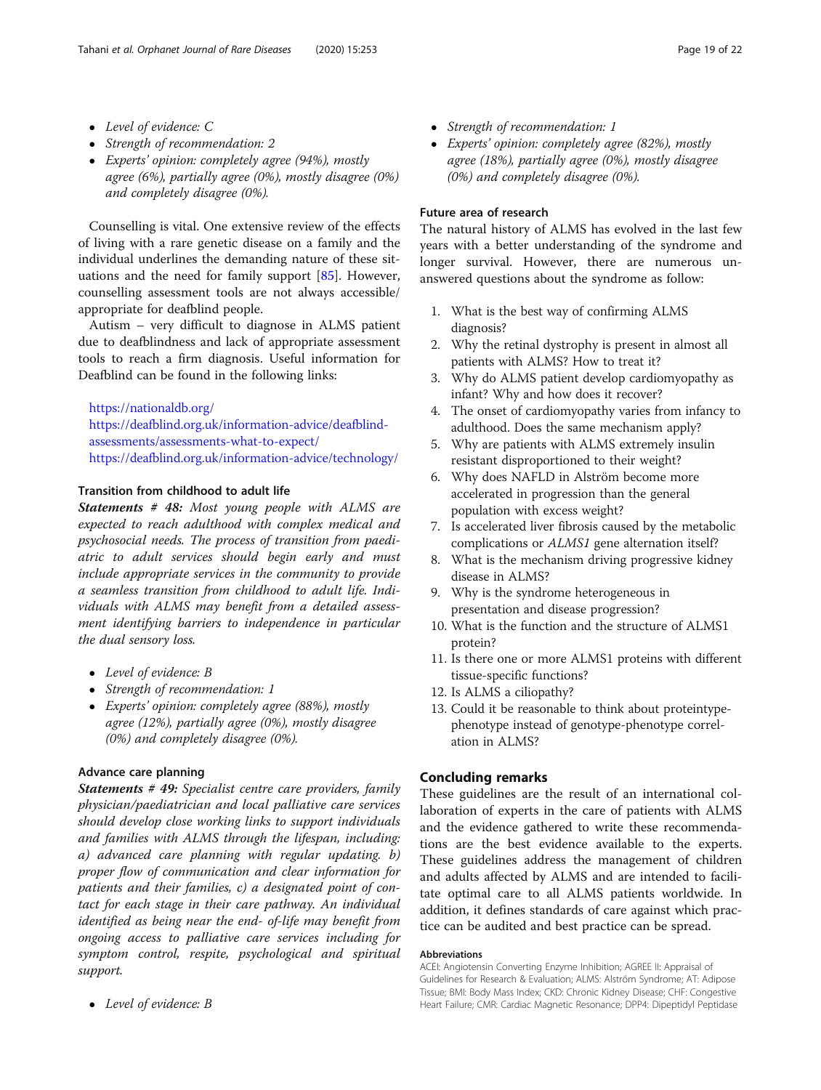- Level of evidence: C
- Strength of recommendation: 2
- Experts' opinion: completely agree (94%), mostly agree (6%), partially agree (0%), mostly disagree (0%) and completely disagree (0%).

Counselling is vital. One extensive review of the effects of living with a rare genetic disease on a family and the individual underlines the demanding nature of these situations and the need for family support [[85\]](#page-21-0). However, counselling assessment tools are not always accessible/ appropriate for deafblind people.

Autism – very difficult to diagnose in ALMS patient due to deafblindness and lack of appropriate assessment tools to reach a firm diagnosis. Useful information for Deafblind can be found in the following links:

<https://nationaldb.org/> [https://deafblind.org.uk/information-advice/deafblind](https://deafblind.org.uk/information-advice/deafblind-assessments/assessments-what-to-expect/)[assessments/assessments-what-to-expect/](https://deafblind.org.uk/information-advice/deafblind-assessments/assessments-what-to-expect/) <https://deafblind.org.uk/information-advice/technology/>

# Transition from childhood to adult life

Statements # 48: Most young people with ALMS are expected to reach adulthood with complex medical and psychosocial needs. The process of transition from paediatric to adult services should begin early and must include appropriate services in the community to provide a seamless transition from childhood to adult life. Individuals with ALMS may benefit from a detailed assessment identifying barriers to independence in particular the dual sensory loss.

- Level of evidence: B
- Strength of recommendation: 1
- Experts' opinion: completely agree (88%), mostly agree (12%), partially agree (0%), mostly disagree (0%) and completely disagree (0%).

# Advance care planning

Statements # 49: Specialist centre care providers, family physician/paediatrician and local palliative care services should develop close working links to support individuals and families with ALMS through the lifespan, including: a) advanced care planning with regular updating. b) proper flow of communication and clear information for patients and their families, c) a designated point of contact for each stage in their care pathway. An individual identified as being near the end- of-life may benefit from ongoing access to palliative care services including for symptom control, respite, psychological and spiritual support.

Level of evidence: B

- Strength of recommendation: 1
- Experts' opinion: completely agree (82%), mostly agree (18%), partially agree (0%), mostly disagree (0%) and completely disagree (0%).

# Future area of research

The natural history of ALMS has evolved in the last few years with a better understanding of the syndrome and longer survival. However, there are numerous unanswered questions about the syndrome as follow:

- 1. What is the best way of confirming ALMS diagnosis?
- 2. Why the retinal dystrophy is present in almost all patients with ALMS? How to treat it?
- 3. Why do ALMS patient develop cardiomyopathy as infant? Why and how does it recover?
- 4. The onset of cardiomyopathy varies from infancy to adulthood. Does the same mechanism apply?
- 5. Why are patients with ALMS extremely insulin resistant disproportioned to their weight?
- 6. Why does NAFLD in Alström become more accelerated in progression than the general population with excess weight?
- 7. Is accelerated liver fibrosis caused by the metabolic complications or ALMS1 gene alternation itself?
- 8. What is the mechanism driving progressive kidney disease in ALMS?
- 9. Why is the syndrome heterogeneous in presentation and disease progression?
- 10. What is the function and the structure of ALMS1 protein?
- 11. Is there one or more ALMS1 proteins with different tissue-specific functions?
- 12. Is ALMS a ciliopathy?
- 13. Could it be reasonable to think about proteintypephenotype instead of genotype-phenotype correlation in ALMS?

# Concluding remarks

These guidelines are the result of an international collaboration of experts in the care of patients with ALMS and the evidence gathered to write these recommendations are the best evidence available to the experts. These guidelines address the management of children and adults affected by ALMS and are intended to facilitate optimal care to all ALMS patients worldwide. In addition, it defines standards of care against which practice can be audited and best practice can be spread.

#### Abbreviations

ACEI: Angiotensin Converting Enzyme Inhibition; AGREE II: Appraisal of Guidelines for Research & Evaluation; ALMS: Alström Syndrome; AT: Adipose Tissue; BMI: Body Mass Index; CKD: Chronic Kidney Disease; CHF: Congestive Heart Failure; CMR: Cardiac Magnetic Resonance; DPP4: Dipeptidyl Peptidase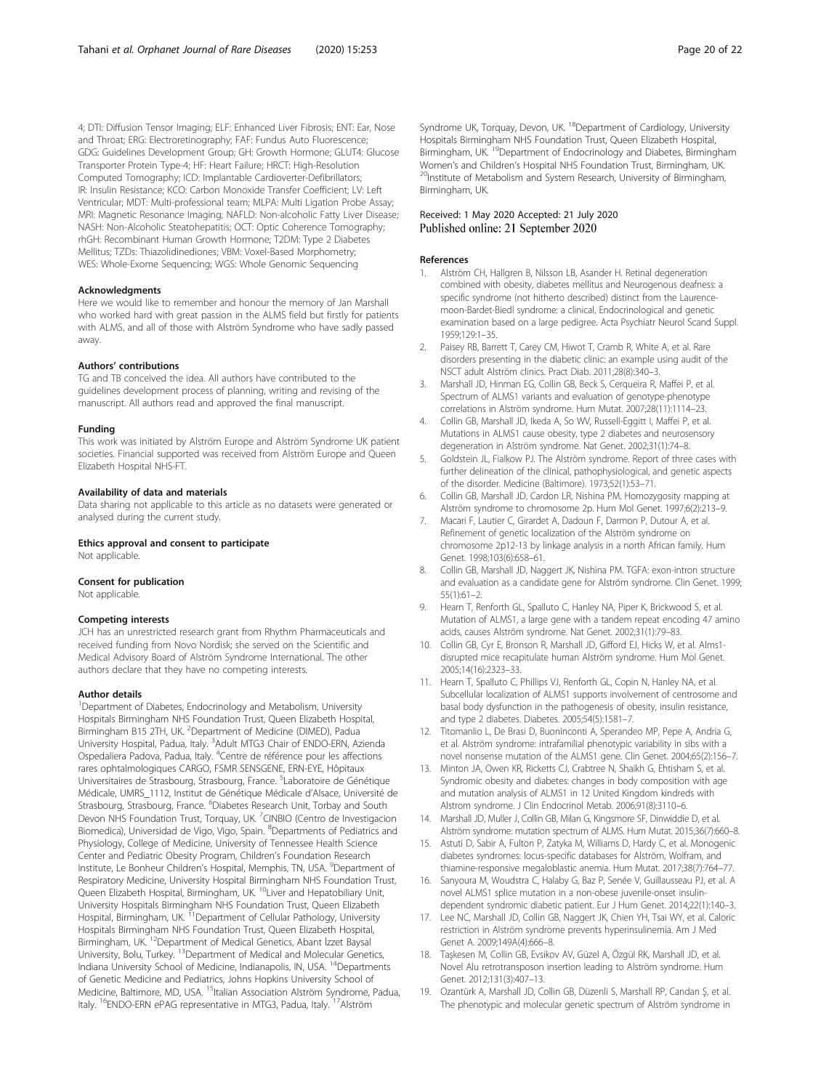<span id="page-19-0"></span>4; DTI: Diffusion Tensor Imaging; ELF: Enhanced Liver Fibrosis; ENT: Ear, Nose and Throat; ERG: Electroretinography; FAF: Fundus Auto Fluorescence; GDG: Guidelines Development Group; GH: Growth Hormone; GLUT4: Glucose Transporter Protein Type-4; HF: Heart Failure; HRCT: High-Resolution Computed Tomography; ICD: Implantable Cardioverter-Defibrillators; IR: Insulin Resistance; KCO: Carbon Monoxide Transfer Coefficient; LV: Left Ventricular; MDT: Multi-professional team; MLPA: Multi Ligation Probe Assay; MRI: Magnetic Resonance Imaging; NAFLD: Non-alcoholic Fatty Liver Disease; NASH: Non-Alcoholic Steatohepatitis; OCT: Optic Coherence Tomography; rhGH: Recombinant Human Growth Hormone; T2DM: Type 2 Diabetes Mellitus; TZDs: Thiazolidinediones; VBM: Voxel-Based Morphometry; WES: Whole-Exome Sequencing; WGS: Whole Genomic Sequencing

#### Acknowledgments

Here we would like to remember and honour the memory of Jan Marshall who worked hard with great passion in the ALMS field but firstly for patients with ALMS, and all of those with Alström Syndrome who have sadly passed away.

#### Authors' contributions

TG and TB conceived the idea. All authors have contributed to the guidelines development process of planning, writing and revising of the manuscript. All authors read and approved the final manuscript.

#### Funding

This work was initiated by Alström Europe and Alström Syndrome UK patient societies. Financial supported was received from Alström Europe and Queen Elizabeth Hospital NHS-FT.

#### Availability of data and materials

Data sharing not applicable to this article as no datasets were generated or analysed during the current study.

#### Ethics approval and consent to participate

Not applicable.

#### Consent for publication

Not applicable.

#### Competing interests

JCH has an unrestricted research grant from Rhythm Pharmaceuticals and received funding from Novo Nordisk; she served on the Scientific and Medical Advisory Board of Alström Syndrome International. The other authors declare that they have no competing interests.

#### Author details

<sup>1</sup>Department of Diabetes, Endocrinology and Metabolism, University Hospitals Birmingham NHS Foundation Trust, Queen Elizabeth Hospital, Birmingham B15 2TH, UK. <sup>2</sup>Department of Medicine (DIMED), Padua University Hospital, Padua, Italy. <sup>3</sup> Adult MTG3 Chair of ENDO-ERN, Azienda Ospedaliera Padova, Padua, Italy. <sup>4</sup>Centre de référence pour les affections rares ophtalmologiques CARGO, FSMR SENSGENE, ERN-EYE, Hôpitaux Universitaires de Strasbourg, Strasbourg, France. <sup>5</sup>Laboratoire de Génétique Médicale, UMRS\_1112, Institut de Génétique Médicale d'Alsace, Université de Strasbourg, Strasbourg, France. <sup>6</sup>Diabetes Research Unit, Torbay and South Devon NHS Foundation Trust, Torquay, UK. <sup>7</sup>CINBIO (Centro de Investigacion Biomedica), Universidad de Vigo, Vigo, Spain. <sup>8</sup>Departments of Pediatrics and Physiology, College of Medicine, University of Tennessee Health Science Center and Pediatric Obesity Program, Children's Foundation Research Institute, Le Bonheur Children's Hospital, Memphis, TN, USA. <sup>9</sup>Department of Respiratory Medicine, University Hospital Birmingham NHS Foundation Trust, Queen Elizabeth Hospital, Birmingham, UK. <sup>10</sup>Liver and Hepatobiliary Unit, University Hospitals Birmingham NHS Foundation Trust, Queen Elizabeth Hospital, Birmingham, UK. <sup>11</sup>Department of Cellular Pathology, University Hospitals Birmingham NHS Foundation Trust, Queen Elizabeth Hospital, Birmingham, UK. <sup>12</sup>Department of Medical Genetics, Abant İzzet Baysal University, Bolu, Turkey. 13Department of Medical and Molecular Genetics, Indiana University School of Medicine, Indianapolis, IN, USA. <sup>14</sup>Departments of Genetic Medicine and Pediatrics, Johns Hopkins University School of Medicine, Baltimore, MD, USA. <sup>15</sup>Italian Association Alström Syndrome, Padua, Italy. <sup>16</sup>ENDO-ERN ePAG representative in MTG3, Padua, Italy. <sup>17</sup>Alström

Syndrome UK, Torquay, Devon, UK. 18Department of Cardiology, University Hospitals Birmingham NHS Foundation Trust, Queen Elizabeth Hospital, Birmingham, UK.<sup>19</sup>Department of Endocrinology and Diabetes, Birmingham Women's and Children's Hospital NHS Foundation Trust, Birmingham, UK.<br><sup>20</sup>Institute of Metabolism and System Research, University of Birmingham, Birmingham, UK.

#### Received: 1 May 2020 Accepted: 21 July 2020 Published online: 21 September 2020

#### References

- Alström CH, Hallgren B, Nilsson LB, Asander H. Retinal degeneration combined with obesity, diabetes mellitus and Neurogenous deafness: a specific syndrome (not hitherto described) distinct from the Laurencemoon-Bardet-Biedl syndrome: a clinical, Endocrinological and genetic examination based on a large pedigree. Acta Psychiatr Neurol Scand Suppl. 1959;129:1–35.
- 2. Paisey RB, Barrett T, Carey CM, Hiwot T, Cramb R, White A, et al. Rare disorders presenting in the diabetic clinic: an example using audit of the NSCT adult Alström clinics. Pract Diab. 2011;28(8):340–3.
- Marshall JD, Hinman EG, Collin GB, Beck S, Cerqueira R, Maffei P, et al. Spectrum of ALMS1 variants and evaluation of genotype-phenotype correlations in Alström syndrome. Hum Mutat. 2007;28(11):1114–23.
- 4. Collin GB, Marshall JD, Ikeda A, So WV, Russell-Eggitt I, Maffei P, et al. Mutations in ALMS1 cause obesity, type 2 diabetes and neurosensory degeneration in Alström syndrome. Nat Genet. 2002;31(1):74–8.
- 5. Goldstein JL, Fialkow PJ. The Alström syndrome. Report of three cases with further delineation of the clinical, pathophysiological, and genetic aspects of the disorder. Medicine (Baltimore). 1973;52(1):53–71.
- 6. Collin GB, Marshall JD, Cardon LR, Nishina PM. Homozygosity mapping at Alström syndrome to chromosome 2p. Hum Mol Genet. 1997;6(2):213–9.
- 7. Macari F, Lautier C, Girardet A, Dadoun F, Darmon P, Dutour A, et al. Refinement of genetic localization of the Alström syndrome on chromosome 2p12-13 by linkage analysis in a north African family. Hum Genet. 1998;103(6):658–61.
- 8. Collin GB, Marshall JD, Naggert JK, Nishina PM. TGFA: exon-intron structure and evaluation as a candidate gene for Alström syndrome. Clin Genet. 1999; 55(1):61–2.
- Hearn T, Renforth GL, Spalluto C, Hanley NA, Piper K, Brickwood S, et al. Mutation of ALMS1, a large gene with a tandem repeat encoding 47 amino acids, causes Alström syndrome. Nat Genet. 2002;31(1):79–83.
- 10. Collin GB, Cyr E, Bronson R, Marshall JD, Gifford EJ, Hicks W, et al. Alms1 disrupted mice recapitulate human Alström syndrome. Hum Mol Genet. 2005;14(16):2323–33.
- 11. Hearn T, Spalluto C, Phillips VJ, Renforth GL, Copin N, Hanley NA, et al. Subcellular localization of ALMS1 supports involvement of centrosome and basal body dysfunction in the pathogenesis of obesity, insulin resistance, and type 2 diabetes. Diabetes. 2005;54(5):1581–7.
- 12. Titomanlio L, De Brasi D, Buoninconti A, Sperandeo MP, Pepe A, Andria G, et al. Alström syndrome: intrafamilial phenotypic variability in sibs with a novel nonsense mutation of the ALMS1 gene. Clin Genet. 2004;65(2):156–7.
- 13. Minton JA, Owen KR, Ricketts CJ, Crabtree N, Shaikh G, Ehtisham S, et al. Syndromic obesity and diabetes: changes in body composition with age and mutation analysis of ALMS1 in 12 United Kingdom kindreds with Alstrom syndrome. J Clin Endocrinol Metab. 2006;91(8):3110–6.
- 14. Marshall JD, Muller J, Collin GB, Milan G, Kingsmore SF, Dinwiddie D, et al. Alström syndrome: mutation spectrum of ALMS. Hum Mutat. 2015;36(7):660–8.
- 15. Astuti D, Sabir A, Fulton P, Zatyka M, Williams D, Hardy C, et al. Monogenic diabetes syndromes: locus-specific databases for Alström, Wolfram, and thiamine-responsive megaloblastic anemia. Hum Mutat. 2017;38(7):764–77.
- 16. Sanyoura M, Woudstra C, Halaby G, Baz P, Senée V, Guillausseau PJ, et al. A novel ALMS1 splice mutation in a non-obese juvenile-onset insulindependent syndromic diabetic patient. Eur J Hum Genet. 2014;22(1):140–3.
- 17. Lee NC, Marshall JD, Collin GB, Naggert JK, Chien YH, Tsai WY, et al. Caloric restriction in Alström syndrome prevents hyperinsulinemia. Am J Med Genet A. 2009;149A(4):666–8.
- 18. Taşkesen M, Collin GB, Evsikov AV, Güzel A, Özgül RK, Marshall JD, et al. Novel Alu retrotransposon insertion leading to Alström syndrome. Hum Genet. 2012;131(3):407–13.
- 19. Ozantürk A, Marshall JD, Collin GB, Düzenli S, Marshall RP, Candan Ş, et al. The phenotypic and molecular genetic spectrum of Alström syndrome in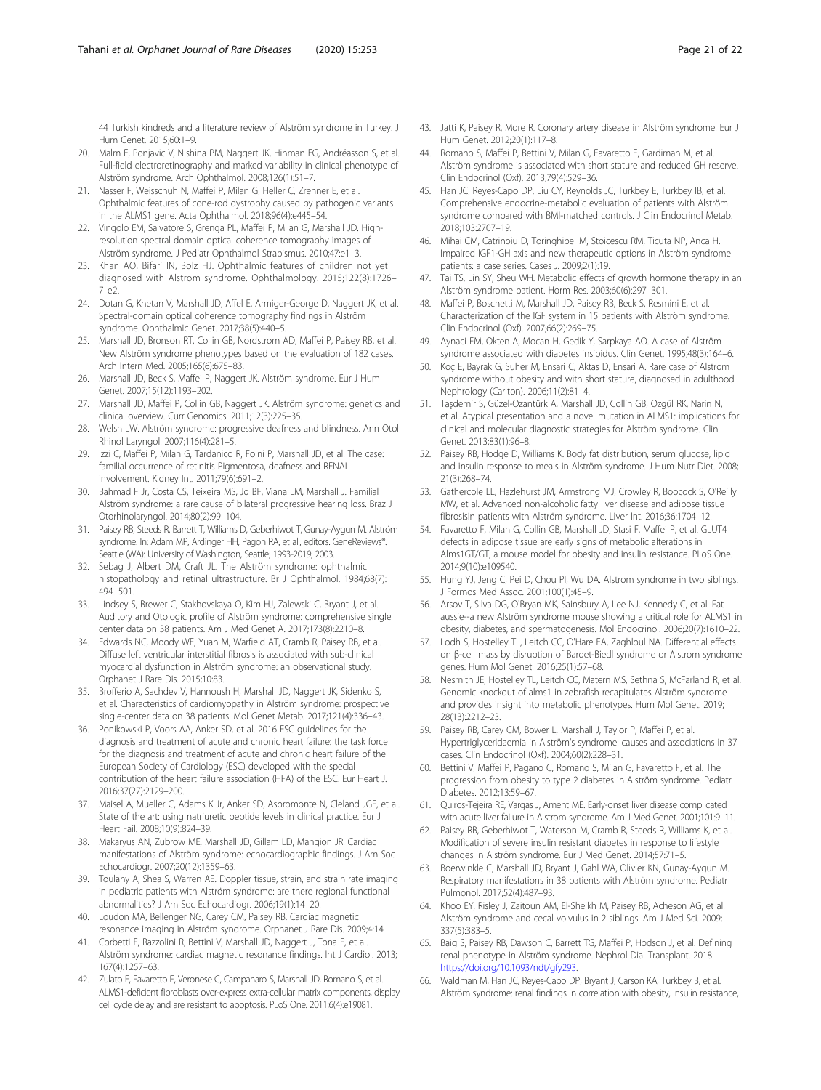<span id="page-20-0"></span>44 Turkish kindreds and a literature review of Alström syndrome in Turkey. J Hum Genet. 2015;60:1–9.

- 20. Malm E, Ponjavic V, Nishina PM, Naggert JK, Hinman EG, Andréasson S, et al. Full-field electroretinography and marked variability in clinical phenotype of Alström syndrome. Arch Ophthalmol. 2008;126(1):51–7.
- 21. Nasser F, Weisschuh N, Maffei P, Milan G, Heller C, Zrenner E, et al. Ophthalmic features of cone-rod dystrophy caused by pathogenic variants in the ALMS1 gene. Acta Ophthalmol. 2018;96(4):e445–54.
- 22. Vingolo EM, Salvatore S, Grenga PL, Maffei P, Milan G, Marshall JD. Highresolution spectral domain optical coherence tomography images of Alström syndrome. J Pediatr Ophthalmol Strabismus. 2010;47:e1–3.
- 23. Khan AO, Bifari IN, Bolz HJ. Ophthalmic features of children not yet diagnosed with Alstrom syndrome. Ophthalmology. 2015;122(8):1726– 7 e2.
- 24. Dotan G, Khetan V, Marshall JD, Affel E, Armiger-George D, Naggert JK, et al. Spectral-domain optical coherence tomography findings in Alström syndrome. Ophthalmic Genet. 2017;38(5):440–5.
- 25. Marshall JD, Bronson RT, Collin GB, Nordstrom AD, Maffei P, Paisey RB, et al. New Alström syndrome phenotypes based on the evaluation of 182 cases. Arch Intern Med. 2005;165(6):675–83.
- 26. Marshall JD, Beck S, Maffei P, Naggert JK. Alström syndrome. Eur J Hum Genet. 2007;15(12):1193–202.
- 27. Marshall JD, Maffei P, Collin GB, Naggert JK. Alström syndrome: genetics and clinical overview. Curr Genomics. 2011;12(3):225–35.
- 28. Welsh LW. Alström syndrome: progressive deafness and blindness. Ann Otol Rhinol Laryngol. 2007;116(4):281–5.
- 29. Izzi C, Maffei P, Milan G, Tardanico R, Foini P, Marshall JD, et al. The case: familial occurrence of retinitis Pigmentosa, deafness and RENAL involvement. Kidney Int. 2011;79(6):691–2.
- 30. Bahmad F Jr, Costa CS, Teixeira MS, Jd BF, Viana LM, Marshall J. Familial Alström syndrome: a rare cause of bilateral progressive hearing loss. Braz J Otorhinolaryngol. 2014;80(2):99–104.
- 31. Paisey RB, Steeds R, Barrett T, Williams D, Geberhiwot T, Gunay-Aygun M. Alström syndrome. In: Adam MP, Ardinger HH, Pagon RA, et al., editors. GeneReviews®. Seattle (WA): University of Washington, Seattle; 1993-2019; 2003.
- 32. Sebag J, Albert DM, Craft JL. The Alström syndrome: ophthalmic histopathology and retinal ultrastructure. Br J Ophthalmol. 1984;68(7): 494–501.
- 33. Lindsey S, Brewer C, Stakhovskaya O, Kim HJ, Zalewski C, Bryant J, et al. Auditory and Otologic profile of Alström syndrome: comprehensive single center data on 38 patients. Am J Med Genet A. 2017;173(8):2210–8.
- 34. Edwards NC, Moody WE, Yuan M, Warfield AT, Cramb R, Paisey RB, et al. Diffuse left ventricular interstitial fibrosis is associated with sub-clinical myocardial dysfunction in Alström syndrome: an observational study. Orphanet J Rare Dis. 2015;10:83.
- 35. Brofferio A, Sachdev V, Hannoush H, Marshall JD, Naggert JK, Sidenko S, et al. Characteristics of cardiomyopathy in Alström syndrome: prospective single-center data on 38 patients. Mol Genet Metab. 2017;121(4):336–43.
- 36. Ponikowski P, Voors AA, Anker SD, et al. 2016 ESC guidelines for the diagnosis and treatment of acute and chronic heart failure: the task force for the diagnosis and treatment of acute and chronic heart failure of the European Society of Cardiology (ESC) developed with the special contribution of the heart failure association (HFA) of the ESC. Eur Heart J. 2016;37(27):2129–200.
- 37. Maisel A, Mueller C, Adams K Jr, Anker SD, Aspromonte N, Cleland JGF, et al. State of the art: using natriuretic peptide levels in clinical practice. Eur J Heart Fail. 2008;10(9):824–39.
- 38. Makaryus AN, Zubrow ME, Marshall JD, Gillam LD, Mangion JR. Cardiac manifestations of Alström syndrome: echocardiographic findings. J Am Soc Echocardiogr. 2007;20(12):1359–63.
- 39. Toulany A, Shea S, Warren AE. Doppler tissue, strain, and strain rate imaging in pediatric patients with Alström syndrome: are there regional functional abnormalities? J Am Soc Echocardiogr. 2006;19(1):14–20.
- 40. Loudon MA, Bellenger NG, Carey CM, Paisey RB. Cardiac magnetic resonance imaging in Alström syndrome. Orphanet J Rare Dis. 2009;4:14.
- 41. Corbetti F, Razzolini R, Bettini V, Marshall JD, Naggert J, Tona F, et al. Alström syndrome: cardiac magnetic resonance findings. Int J Cardiol. 2013; 167(4):1257–63.
- 42. Zulato E, Favaretto F, Veronese C, Campanaro S, Marshall JD, Romano S, et al. ALMS1-deficient fibroblasts over-express extra-cellular matrix components, display cell cycle delay and are resistant to apoptosis. PLoS One. 2011;6(4):e19081.
- 43. Jatti K, Paisey R, More R. Coronary artery disease in Alström syndrome. Eur J Hum Genet. 2012;20(1):117–8.
- 44. Romano S, Maffei P, Bettini V, Milan G, Favaretto F, Gardiman M, et al. Alström syndrome is associated with short stature and reduced GH reserve. Clin Endocrinol (Oxf). 2013;79(4):529–36.
- 45. Han JC, Reyes-Capo DP, Liu CY, Reynolds JC, Turkbey E, Turkbey IB, et al. Comprehensive endocrine-metabolic evaluation of patients with Alström syndrome compared with BMI-matched controls. J Clin Endocrinol Metab. 2018;103:2707–19.
- 46. Mihai CM, Catrinoiu D, Toringhibel M, Stoicescu RM, Ticuta NP, Anca H. Impaired IGF1-GH axis and new therapeutic options in Alström syndrome patients: a case series. Cases J. 2009;2(1):19.
- 47. Tai TS, Lin SY, Sheu WH. Metabolic effects of growth hormone therapy in an Alström syndrome patient. Horm Res. 2003;60(6):297–301.
- 48. Maffei P, Boschetti M, Marshall JD, Paisey RB, Beck S, Resmini E, et al. Characterization of the IGF system in 15 patients with Alström syndrome. Clin Endocrinol (Oxf). 2007;66(2):269–75.
- 49. Aynaci FM, Okten A, Mocan H, Gedik Y, Sarpkaya AO. A case of Alström syndrome associated with diabetes insipidus. Clin Genet. 1995;48(3):164–6.
- 50. Koç E, Bayrak G, Suher M, Ensari C, Aktas D, Ensari A. Rare case of Alstrom syndrome without obesity and with short stature, diagnosed in adulthood. Nephrology (Carlton). 2006;11(2):81–4.
- 51. Taşdemir S, Güzel-Ozantürk A, Marshall JD, Collin GB, Ozgül RK, Narin N, et al. Atypical presentation and a novel mutation in ALMS1: implications for clinical and molecular diagnostic strategies for Alström syndrome. Clin Genet. 2013;83(1):96–8.
- 52. Paisey RB, Hodge D, Williams K. Body fat distribution, serum glucose, lipid and insulin response to meals in Alström syndrome. J Hum Nutr Diet. 2008; 21(3):268–74.
- 53. Gathercole LL, Hazlehurst JM, Armstrong MJ, Crowley R, Boocock S, O'Reilly MW, et al. Advanced non-alcoholic fatty liver disease and adipose tissue fibrosisin patients with Alström syndrome. Liver Int. 2016;36:1704–12.
- 54. Favaretto F, Milan G, Collin GB, Marshall JD, Stasi F, Maffei P, et al. GLUT4 defects in adipose tissue are early signs of metabolic alterations in Alms1GT/GT, a mouse model for obesity and insulin resistance. PLoS One. 2014;9(10):e109540.
- 55. Hung YJ, Jeng C, Pei D, Chou PI, Wu DA. Alstrom syndrome in two siblings. J Formos Med Assoc. 2001;100(1):45–9.
- 56. Arsov T, Silva DG, O'Bryan MK, Sainsbury A, Lee NJ, Kennedy C, et al. Fat aussie--a new Alström syndrome mouse showing a critical role for ALMS1 in obesity, diabetes, and spermatogenesis. Mol Endocrinol. 2006;20(7):1610–22.
- 57. Lodh S, Hostelley TL, Leitch CC, O'Hare EA, Zaghloul NA. Differential effects on β-cell mass by disruption of Bardet-Biedl syndrome or Alstrom syndrome genes. Hum Mol Genet. 2016;25(1):57–68.
- 58. Nesmith JE, Hostelley TL, Leitch CC, Matern MS, Sethna S, McFarland R, et al. Genomic knockout of alms1 in zebrafish recapitulates Alström syndrome and provides insight into metabolic phenotypes. Hum Mol Genet. 2019; 28(13):2212–23.
- 59. Paisey RB, Carey CM, Bower L, Marshall J, Taylor P, Maffei P, et al. Hypertriglyceridaemia in Alström's syndrome: causes and associations in 37 cases. Clin Endocrinol (Oxf). 2004;60(2):228–31.
- 60. Bettini V, Maffei P, Pagano C, Romano S, Milan G, Favaretto F, et al. The progression from obesity to type 2 diabetes in Alström syndrome. Pediatr Diabetes. 2012;13:59–67.
- 61. Quiros-Tejeira RE, Vargas J, Ament ME. Early-onset liver disease complicated with acute liver failure in Alstrom syndrome. Am J Med Genet. 2001;101:9–11.
- 62. Paisey RB, Geberhiwot T, Waterson M, Cramb R, Steeds R, Williams K, et al. Modification of severe insulin resistant diabetes in response to lifestyle changes in Alström syndrome. Eur J Med Genet. 2014;57:71–5.
- 63. Boerwinkle C, Marshall JD, Bryant J, Gahl WA, Olivier KN, Gunay-Aygun M. Respiratory manifestations in 38 patients with Alström syndrome. Pediatr Pulmonol. 2017;52(4):487–93.
- 64. Khoo EY, Risley J, Zaitoun AM, El-Sheikh M, Paisey RB, Acheson AG, et al. Alström syndrome and cecal volvulus in 2 siblings. Am J Med Sci. 2009; 337(5):383–5.
- 65. Baig S, Paisey RB, Dawson C, Barrett TG, Maffei P, Hodson J, et al. Defining renal phenotype in Alström syndrome. Nephrol Dial Transplant. 2018. <https://doi.org/10.1093/ndt/gfy293>.
- 66. Waldman M, Han JC, Reyes-Capo DP, Bryant J, Carson KA, Turkbey B, et al. Alström syndrome: renal findings in correlation with obesity, insulin resistance,